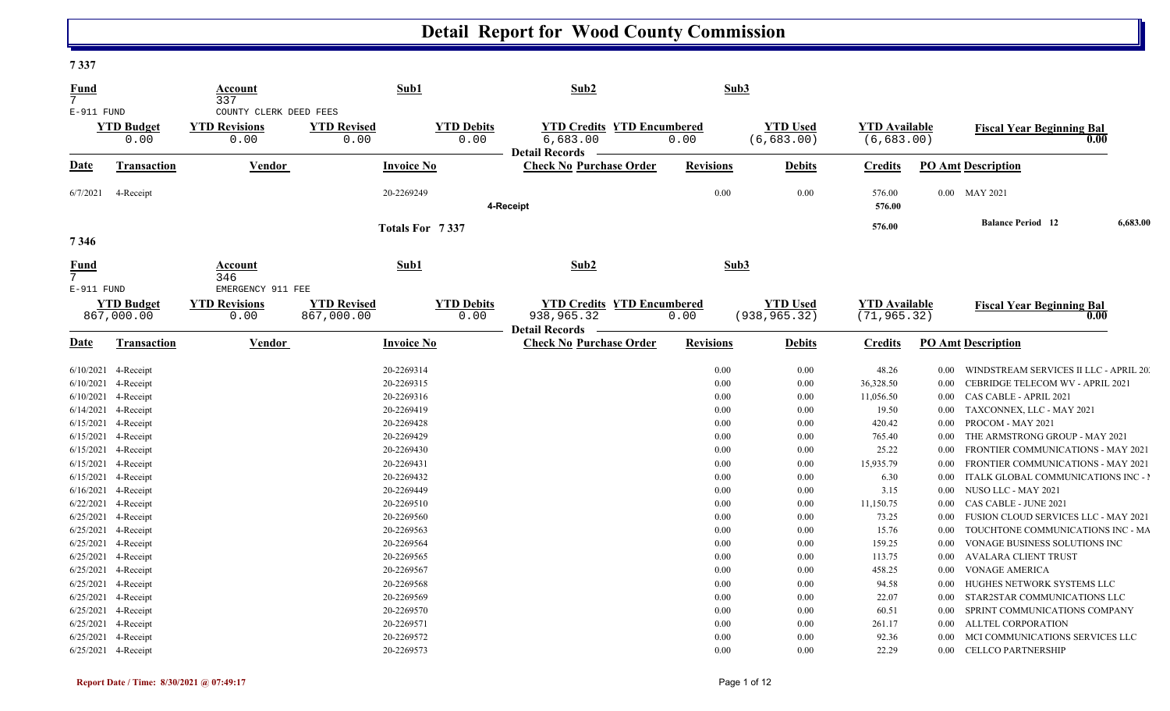#### **7 337**

| <u>Fund</u><br>$7\overline{ }$ |                                 | Account<br>337                                    |                                  | Sub1              |                           | Sub2                                                                     | Sub3             |                                  |                                      |          |                                           |          |
|--------------------------------|---------------------------------|---------------------------------------------------|----------------------------------|-------------------|---------------------------|--------------------------------------------------------------------------|------------------|----------------------------------|--------------------------------------|----------|-------------------------------------------|----------|
| E-911 FUND                     |                                 | COUNTY CLERK DEED FEES                            |                                  |                   |                           |                                                                          |                  |                                  |                                      |          |                                           |          |
|                                | <b>YTD Budget</b><br>0.00       | <b>YTD Revisions</b><br>0.00                      | <b>YTD Revised</b><br>0.00       |                   | <b>YTD Debits</b><br>0.00 | <b>YTD Credits YTD Encumbered</b><br>6,683.00<br><b>Detail Records</b>   | 0.00             | <b>YTD Used</b><br>(6,683.00)    | <b>YTD Available</b><br>(6,683.00)   |          | <b>Fiscal Year Beginning Bal</b><br>0.00  |          |
| Date                           | Transaction                     | Vendor                                            |                                  | <b>Invoice No</b> |                           | <b>Check No Purchase Order</b>                                           | <b>Revisions</b> | <b>Debits</b>                    | <b>Credits</b>                       |          | <b>PO Amt Description</b>                 |          |
| 6/7/2021                       | 4-Receipt                       |                                                   |                                  | 20-2269249        |                           | 4-Receipt                                                                | 0.00             | 0.00                             | 576.00<br>576.00                     |          | 0.00 MAY 2021                             |          |
|                                |                                 |                                                   |                                  |                   |                           |                                                                          |                  |                                  | 576.00                               |          | <b>Balance Period</b> 12                  | 6,683.00 |
| 7346                           |                                 |                                                   |                                  | Totals For 7337   |                           |                                                                          |                  |                                  |                                      |          |                                           |          |
| <b>Fund</b>                    |                                 | Account<br>346                                    |                                  | Sub1              |                           | Sub2                                                                     | Sub3             |                                  |                                      |          |                                           |          |
| E-911 FUND                     | <b>YTD Budget</b><br>867,000.00 | EMERGENCY 911 FEE<br><b>YTD Revisions</b><br>0.00 | <b>YTD Revised</b><br>867,000.00 |                   | <b>YTD Debits</b><br>0.00 | <b>YTD Credits YTD Encumbered</b><br>938,965.32<br><b>Detail Records</b> | 0.00             | <b>YTD Used</b><br>(938, 965.32) | <b>YTD Available</b><br>(71, 965.32) |          | <b>Fiscal Year Beginning Bal</b><br>0.00  |          |
| <u>Date</u>                    | Transaction                     | Vendor                                            |                                  | <b>Invoice No</b> |                           | <b>Check No Purchase Order</b>                                           | <b>Revisions</b> | <b>Debits</b>                    | <b>Credits</b>                       |          | <b>PO Amt Description</b>                 |          |
|                                | 6/10/2021 4-Receipt             |                                                   |                                  | 20-2269314        |                           |                                                                          | 0.00             | 0.00                             | 48.26                                | $0.00\,$ | WINDSTREAM SERVICES II LLC - APRIL 20     |          |
|                                | 6/10/2021 4-Receipt             |                                                   |                                  | 20-2269315        |                           |                                                                          | 0.00             | 0.00                             | 36,328.50                            | 0.00     | CEBRIDGE TELECOM WV - APRIL 2021          |          |
|                                | 6/10/2021 4-Receipt             |                                                   |                                  | 20-2269316        |                           |                                                                          | 0.00             | 0.00                             | 11,056.50                            | $0.00\,$ | CAS CABLE - APRIL 2021                    |          |
|                                | 6/14/2021 4-Receipt             |                                                   |                                  | 20-2269419        |                           |                                                                          | 0.00             | 0.00                             | 19.50                                | $0.00\,$ | TAXCONNEX, LLC - MAY 2021                 |          |
|                                | 6/15/2021 4-Receipt             |                                                   |                                  | 20-2269428        |                           |                                                                          | 0.00             | 0.00                             | 420.42                               | 0.00     | PROCOM - MAY 2021                         |          |
|                                | 6/15/2021 4-Receipt             |                                                   |                                  | 20-2269429        |                           |                                                                          | 0.00             | 0.00                             | 765.40                               | $0.00\,$ | THE ARMSTRONG GROUP - MAY 2021            |          |
|                                | 6/15/2021 4-Receipt             |                                                   |                                  | 20-2269430        |                           |                                                                          | 0.00             | 0.00                             | 25.22                                | $0.00\,$ | FRONTIER COMMUNICATIONS - MAY 2021        |          |
|                                | 6/15/2021 4-Receipt             |                                                   |                                  | 20-2269431        |                           |                                                                          | 0.00             | 0.00                             | 15,935.79                            | $0.00\,$ | <b>FRONTIER COMMUNICATIONS - MAY 2021</b> |          |
|                                | 6/15/2021 4-Receipt             |                                                   |                                  | 20-2269432        |                           |                                                                          | 0.00             | 0.00                             | 6.30                                 | 0.00     | ITALK GLOBAL COMMUNICATIONS INC - I       |          |
|                                | 6/16/2021 4-Receipt             |                                                   |                                  | 20-2269449        |                           |                                                                          | 0.00             | 0.00                             | 3.15                                 | $0.00\,$ | NUSO LLC - MAY 2021                       |          |
|                                | 6/22/2021 4-Receipt             |                                                   |                                  | 20-2269510        |                           |                                                                          | 0.00             | 0.00                             | 11,150.75                            | $0.00\,$ | CAS CABLE - JUNE 2021                     |          |
|                                | 6/25/2021 4-Receipt             |                                                   |                                  | 20-2269560        |                           |                                                                          | 0.00             | 0.00                             | 73.25                                | 0.00     | FUSION CLOUD SERVICES LLC - MAY 2021      |          |
|                                | 6/25/2021 4-Receipt             |                                                   |                                  | 20-2269563        |                           |                                                                          | 0.00             | 0.00                             | 15.76                                | 0.00     | TOUCHTONE COMMUNICATIONS INC - MA         |          |
|                                | 6/25/2021 4-Receipt             |                                                   |                                  | 20-2269564        |                           |                                                                          | 0.00             | 0.00                             | 159.25                               | $0.00\,$ | VONAGE BUSINESS SOLUTIONS INC             |          |
|                                | 6/25/2021 4-Receipt             |                                                   |                                  | 20-2269565        |                           |                                                                          | 0.00             | 0.00                             | 113.75                               | $0.00\,$ | <b>AVALARA CLIENT TRUST</b>               |          |
|                                | 6/25/2021 4-Receipt             |                                                   |                                  | 20-2269567        |                           |                                                                          | 0.00             | 0.00                             | 458.25                               | 0.00     | <b>VONAGE AMERICA</b>                     |          |
|                                | 6/25/2021 4-Receipt             |                                                   |                                  | 20-2269568        |                           |                                                                          | 0.00             | 0.00                             | 94.58                                | $0.00\,$ | HUGHES NETWORK SYSTEMS LLC                |          |
|                                | 6/25/2021 4-Receipt             |                                                   |                                  | 20-2269569        |                           |                                                                          | 0.00             | 0.00                             | 22.07                                | $0.00\,$ | STAR2STAR COMMUNICATIONS LLC              |          |
|                                | 6/25/2021 4-Receipt             |                                                   |                                  | 20-2269570        |                           |                                                                          | 0.00             | 0.00                             | 60.51                                | 0.00     | SPRINT COMMUNICATIONS COMPANY             |          |
|                                | 6/25/2021 4-Receipt             |                                                   |                                  | 20-2269571        |                           |                                                                          | 0.00             | 0.00                             | 261.17                               | $0.00\,$ | ALLTEL CORPORATION                        |          |
|                                | 6/25/2021 4-Receipt             |                                                   |                                  | 20-2269572        |                           |                                                                          | 0.00             | 0.00                             | 92.36                                | 0.00     | MCI COMMUNICATIONS SERVICES LLC           |          |
|                                | 6/25/2021 4-Receipt             |                                                   |                                  | 20-2269573        |                           |                                                                          | 0.00             | 0.00                             | 22.29                                |          | 0.00 CELLCO PARTNERSHIP                   |          |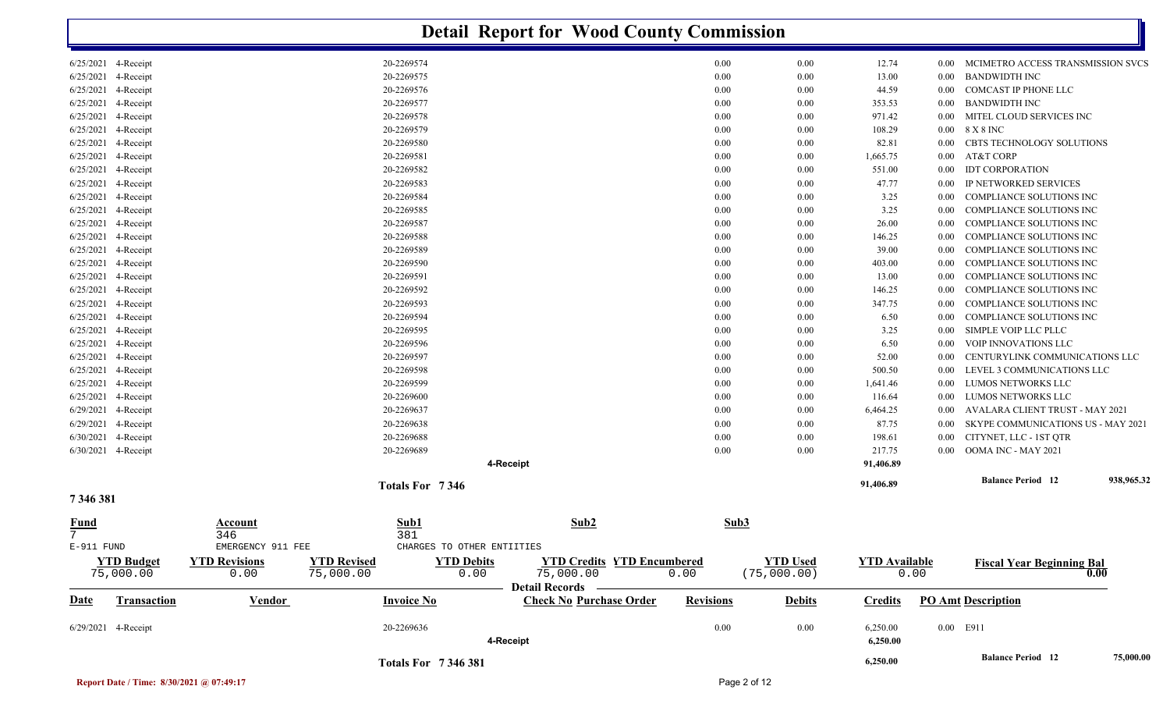|                                                  |                                     |                                 |                            | <b>Detail Report for Wood County Commission</b>                    |                  |                                |                      |              |                                                 |            |
|--------------------------------------------------|-------------------------------------|---------------------------------|----------------------------|--------------------------------------------------------------------|------------------|--------------------------------|----------------------|--------------|-------------------------------------------------|------------|
| 6/25/2021 4-Receipt                              |                                     | 20-2269574                      |                            |                                                                    | 0.00             | 0.00                           | 12.74                | 0.00         | MCIMETRO ACCESS TRANSMISSION SVCS               |            |
| 6/25/2021<br>4-Receipt                           |                                     | 20-2269575                      |                            |                                                                    | 0.00             | 0.00                           | 13.00                | 0.00         | <b>BANDWIDTH INC</b>                            |            |
| 6/25/2021<br>4-Receipt                           |                                     | 20-2269576                      |                            |                                                                    | 0.00             | 0.00                           | 44.59                | $0.00\,$     | COMCAST IP PHONE LLC                            |            |
| 6/25/2021<br>4-Receipt                           |                                     | 20-2269577                      |                            |                                                                    | 0.00             | 0.00                           | 353.53               | 0.00         | <b>BANDWIDTH INC</b>                            |            |
| 6/25/2021<br>4-Receipt                           |                                     | 20-2269578                      |                            |                                                                    | 0.00             | 0.00                           | 971.42               | 0.00         | MITEL CLOUD SERVICES INC                        |            |
| 6/25/2021<br>4-Receipt                           |                                     | 20-2269579                      |                            |                                                                    | 0.00             | 0.00                           | 108.29               | $0.00\,$     | 8 X 8 INC                                       |            |
| 6/25/2021<br>4-Receipt                           |                                     | 20-2269580                      |                            |                                                                    | 0.00             | 0.00                           | 82.81                | 0.00         | CBTS TECHNOLOGY SOLUTIONS                       |            |
| 6/25/2021<br>4-Receipt                           |                                     | 20-2269581                      |                            |                                                                    | 0.00             | 0.00                           | 1,665.75             | 0.00         | AT&T CORP                                       |            |
| 6/25/2021<br>4-Receipt<br>6/25/2021<br>4-Receipt |                                     | 20-2269582<br>20-2269583        |                            |                                                                    | 0.00<br>0.00     | 0.00<br>0.00                   | 551.00<br>47.77      | 0.00<br>0.00 | <b>IDT CORPORATION</b><br>IP NETWORKED SERVICES |            |
| 6/25/2021<br>4-Receipt                           |                                     | 20-2269584                      |                            |                                                                    | 0.00             | 0.00                           | 3.25                 | 0.00         | COMPLIANCE SOLUTIONS INC                        |            |
| 6/25/2021<br>4-Receipt                           |                                     | 20-2269585                      |                            |                                                                    | 0.00             | 0.00                           | 3.25                 | 0.00         | COMPLIANCE SOLUTIONS INC                        |            |
| 6/25/2021<br>4-Receipt                           |                                     | 20-2269587                      |                            |                                                                    | 0.00             | 0.00                           | 26.00                | 0.00         | COMPLIANCE SOLUTIONS INC                        |            |
| 6/25/2021 4-Receipt                              |                                     | 20-2269588                      |                            |                                                                    | 0.00             | 0.00                           | 146.25               | 0.00         | COMPLIANCE SOLUTIONS INC                        |            |
| 6/25/2021<br>4-Receipt                           |                                     | 20-2269589                      |                            |                                                                    | 0.00             | 0.00                           | 39.00                | 0.00         | <b>COMPLIANCE SOLUTIONS INC</b>                 |            |
| 6/25/2021<br>4-Receipt                           |                                     | 20-2269590                      |                            |                                                                    | 0.00             | 0.00                           | 403.00               | 0.00         | COMPLIANCE SOLUTIONS INC                        |            |
| 6/25/2021<br>4-Receipt                           |                                     | 20-2269591                      |                            |                                                                    | 0.00             | 0.00                           | 13.00                | 0.00         | COMPLIANCE SOLUTIONS INC                        |            |
| 6/25/2021<br>4-Receipt                           |                                     | 20-2269592                      |                            |                                                                    | 0.00             | 0.00                           | 146.25               | 0.00         | COMPLIANCE SOLUTIONS INC                        |            |
| 6/25/2021<br>4-Receipt                           |                                     | 20-2269593                      |                            |                                                                    | 0.00             | 0.00                           | 347.75               | 0.00         | COMPLIANCE SOLUTIONS INC                        |            |
| 6/25/2021<br>4-Receipt                           |                                     | 20-2269594                      |                            |                                                                    | 0.00             | 0.00                           | 6.50                 | 0.00         | COMPLIANCE SOLUTIONS INC                        |            |
| 6/25/2021<br>4-Receipt                           |                                     | 20-2269595                      |                            |                                                                    | 0.00             | 0.00                           | 3.25                 | 0.00         | SIMPLE VOIP LLC PLLC                            |            |
| 6/25/2021<br>4-Receipt                           |                                     | 20-2269596                      |                            |                                                                    | 0.00             | 0.00                           | 6.50                 | 0.00         | VOIP INNOVATIONS LLC                            |            |
| 6/25/2021<br>4-Receipt                           |                                     | 20-2269597                      |                            |                                                                    | 0.00             | 0.00                           | 52.00                | 0.00         | CENTURYLINK COMMUNICATIONS LLC                  |            |
| 6/25/2021<br>4-Receipt                           |                                     | 20-2269598                      |                            |                                                                    | 0.00             | 0.00                           | 500.50               | 0.00         | LEVEL 3 COMMUNICATIONS LLC                      |            |
| 6/25/2021<br>4-Receipt                           |                                     | 20-2269599                      |                            |                                                                    | 0.00             | 0.00                           | 1,641.46             | 0.00         | LUMOS NETWORKS LLC                              |            |
| 6/25/2021<br>4-Receipt                           |                                     | 20-2269600                      |                            |                                                                    | 0.00             | 0.00                           | 116.64               | 0.00         | LUMOS NETWORKS LLC                              |            |
| 6/29/2021<br>4-Receipt                           |                                     | 20-2269637                      |                            |                                                                    | 0.00             | 0.00                           | 6,464.25             | $0.00\,$     | AVALARA CLIENT TRUST - MAY 2021                 |            |
| 6/29/2021<br>4-Receipt                           |                                     | 20-2269638                      |                            |                                                                    | 0.00             | 0.00                           | 87.75                | 0.00         | SKYPE COMMUNICATIONS US - MAY 2021              |            |
| 6/30/2021<br>4-Receipt                           |                                     | 20-2269688                      |                            |                                                                    | 0.00             | 0.00                           | 198.61               | 0.00         | CITYNET, LLC - 1ST QTR                          |            |
| 6/30/2021 4-Receipt                              |                                     | 20-2269689                      |                            |                                                                    | 0.00             | 0.00                           | 217.75               | 0.00         | OOMA INC - MAY 2021                             |            |
|                                                  |                                     |                                 | 4-Receipt                  |                                                                    |                  |                                | 91,406.89            |              |                                                 |            |
| 7346381                                          |                                     | Totals For 7346                 |                            |                                                                    |                  |                                | 91,406.89            |              | <b>Balance Period</b> 12                        | 938,965.32 |
| Fund<br>7<br>E-911 FUND                          | Account<br>346<br>EMERGENCY 911 FEE | Sub1<br>381                     | CHARGES TO OTHER ENTIITIES | Sub <sub>2</sub>                                                   | Sub3             |                                |                      |              |                                                 |            |
| <b>YTD Budget</b><br>75,000.00                   | <b>YTD Revisions</b><br>0.00        | <b>YTD Revised</b><br>75,000.00 | <b>YTD Debits</b><br>0.00  | <b>YTD Credits YTD Encumbered</b><br>75,000.00<br>Detail Records – | 0.00             | <b>YTD Used</b><br>(75,000.00) | <b>YTD</b> Available | 0.00         | <b>Fiscal Year Beginning Bal</b>                | 0.00       |
| <u>Date</u><br><b>Transaction</b>                | <b>Vendor</b>                       | <b>Invoice No</b>               |                            | <b>Check No Purchase Order</b>                                     | <b>Revisions</b> | <b>Debits</b>                  | <b>Credits</b>       |              | <b>PO Amt Description</b>                       |            |
| 6/29/2021 4-Receipt                              |                                     | 20-2269636                      | 4-Receipt                  |                                                                    | 0.00             | 0.00                           | 6,250.00<br>6,250.00 |              | 0.00 E911                                       |            |
|                                                  |                                     | <b>Totals For 7346381</b>       |                            |                                                                    |                  |                                | 6,250.00             |              | <b>Balance Period</b> 12                        | 75,000.00  |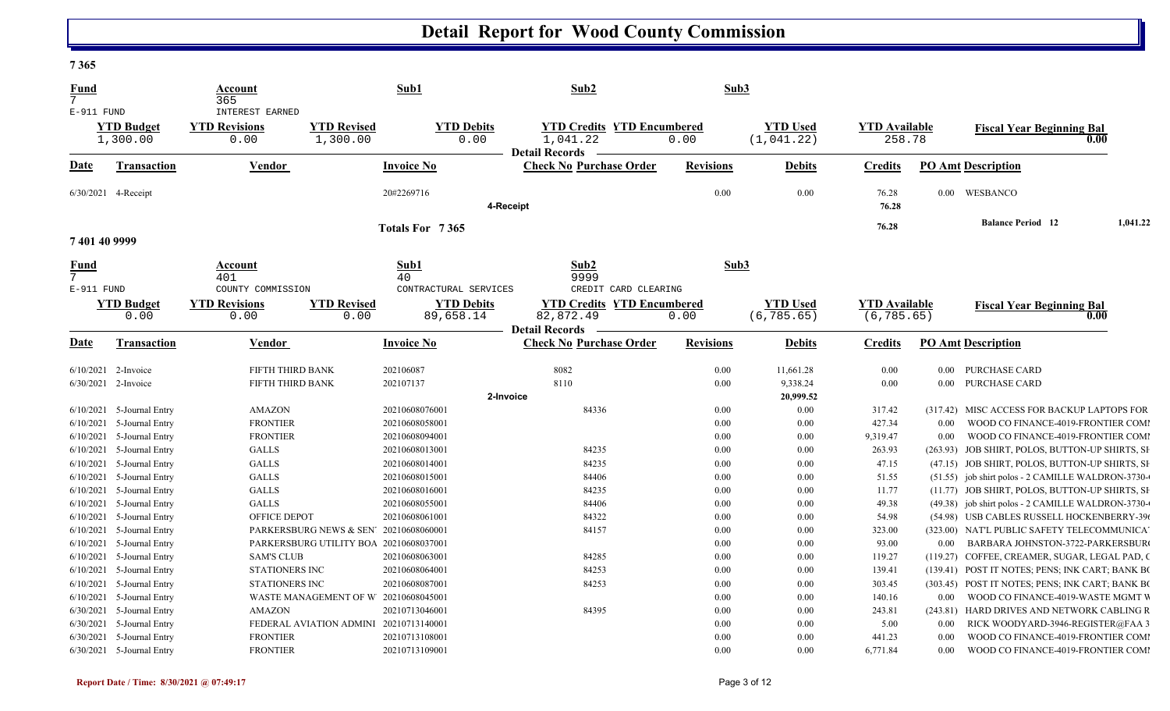#### **7 365**

| Fund<br>7                            |                                    | Account<br>365                                  |                                        | Sub1                                | Sub2                                                                   | Sub3             |                                |                                     |          |                                                                                           |          |
|--------------------------------------|------------------------------------|-------------------------------------------------|----------------------------------------|-------------------------------------|------------------------------------------------------------------------|------------------|--------------------------------|-------------------------------------|----------|-------------------------------------------------------------------------------------------|----------|
| $E-911$ FUND                         | <b>YTD Budget</b><br>1,300.00      | INTEREST EARNED<br><b>YTD Revisions</b><br>0.00 | <b>YTD Revised</b><br>1,300.00         | <b>YTD Debits</b><br>0.00           | <b>YTD Credits YTD Encumbered</b><br>1,041.22<br><b>Detail Records</b> | 0.00             | <b>YTD Used</b><br>(1, 041.22) | <b>YTD Available</b><br>258.78      |          | <b>Fiscal Year Beginning Bal</b>                                                          | 0.00     |
| <b>Date</b>                          | <b>Transaction</b>                 | Vendor                                          |                                        | <b>Invoice No</b>                   | <b>Check No Purchase Order</b>                                         | <b>Revisions</b> | <b>Debits</b>                  | <b>Credits</b>                      |          | <b>PO Amt Description</b>                                                                 |          |
|                                      | 6/30/2021 4-Receipt                |                                                 |                                        | 20#2269716                          | 4-Receipt                                                              | 0.00             | 0.00                           | 76.28<br>76.28                      |          | 0.00 WESBANCO                                                                             |          |
| 7401409999                           |                                    |                                                 |                                        | Totals For 7365                     |                                                                        |                  |                                | 76.28                               |          | <b>Balance Period</b> 12                                                                  | 1,041.22 |
| Fund<br>$\overline{7}$<br>E-911 FUND |                                    | Account<br>401<br>COUNTY COMMISSION             |                                        | Sub1<br>40<br>CONTRACTURAL SERVICES | Sub2<br>9999<br>CREDIT CARD CLEARING                                   | Sub3             |                                |                                     |          |                                                                                           |          |
|                                      | <b>YTD Budget</b><br>0.00          | <b>YTD Revisions</b><br>0.00                    | <b>YTD Revised</b><br>0.00             | <b>YTD Debits</b><br>89,658.14      | <b>YTD Credits YTD Encumbered</b><br>82,872.49                         | 0.00             | <b>YTD Used</b><br>(6, 785.65) | <b>YTD Available</b><br>(6, 785.65) |          | <b>Fiscal Year Beginning Bal</b>                                                          | 0.00     |
| Date                                 | <b>Transaction</b>                 | Vendor                                          |                                        | <b>Invoice No</b>                   | <b>Detail Records</b><br><b>Check No Purchase Order</b>                | <b>Revisions</b> | <b>Debits</b>                  | <b>Credits</b>                      |          | <b>PO Amt Description</b>                                                                 |          |
| 6/10/2021                            | 2-Invoice                          | FIFTH THIRD BANK                                |                                        | 202106087                           | 8082                                                                   | 0.00             | 11,661.28                      | 0.00                                | 0.00     | <b>PURCHASE CARD</b>                                                                      |          |
|                                      | 6/30/2021 2-Invoice                | FIFTH THIRD BANK                                |                                        | 202107137                           | 8110<br>2-Invoice                                                      | 0.00             | 9,338.24<br>20,999.52          | 0.00                                | $0.00\,$ | <b>PURCHASE CARD</b>                                                                      |          |
| 6/10/2021                            | 5-Journal Entry                    | <b>AMAZON</b>                                   |                                        | 20210608076001                      | 84336                                                                  | 0.00             | 0.00                           | 317.42                              |          | (317.42) MISC ACCESS FOR BACKUP LAPTOPS FOR                                               |          |
| 6/10/2021                            | 5-Journal Entry                    | <b>FRONTIER</b>                                 |                                        | 20210608058001                      |                                                                        | $0.00\,$         | 0.00                           | 427.34                              | 0.00     | WOOD CO FINANCE-4019-FRONTIER COMI                                                        |          |
| 6/10/2021                            | 5-Journal Entry                    | <b>FRONTIER</b>                                 |                                        | 20210608094001                      |                                                                        | 0.00             | 0.00                           | 9,319.47                            | 0.00     | WOOD CO FINANCE-4019-FRONTIER COMI                                                        |          |
| 6/10/2021                            | 5-Journal Entry                    | GALLS                                           |                                        | 20210608013001                      | 84235                                                                  | 0.00             | 0.00                           | 263.93                              |          | (263.93) JOB SHIRT, POLOS, BUTTON-UP SHIRTS, SH                                           |          |
| 6/10/2021                            | 5-Journal Entry                    | <b>GALLS</b>                                    |                                        | 20210608014001                      | 84235                                                                  | 0.00             | 0.00                           | 47.15                               |          | (47.15) JOB SHIRT, POLOS, BUTTON-UP SHIRTS, SH                                            |          |
| 6/10/2021                            | 5-Journal Entry                    | <b>GALLS</b>                                    |                                        | 20210608015001                      | 84406                                                                  | $0.00\,$         | 0.00                           | 51.55                               |          | (51.55) job shirt polos - 2 CAMILLE WALDRON-3730-                                         |          |
| 6/10/2021                            | 5-Journal Entry                    | <b>GALLS</b>                                    |                                        | 20210608016001                      | 84235                                                                  | 0.00             | 0.00                           | 11.77                               |          | (11.77) JOB SHIRT, POLOS, BUTTON-UP SHIRTS, SH                                            |          |
| 6/10/2021                            | 5-Journal Entry                    | <b>GALLS</b>                                    |                                        | 20210608055001                      | 84406                                                                  | $0.00\,$         | 0.00                           | 49.38                               |          | (49.38) job shirt polos - 2 CAMILLE WALDRON-3730-                                         |          |
| 6/10/2021<br>6/10/2021               | 5-Journal Entry<br>5-Journal Entry | OFFICE DEPOT                                    | PARKERSBURG NEWS & SEN' 20210608060001 | 20210608061001                      | 84322<br>84157                                                         | 0.00<br>0.00     | 0.00<br>0.00                   | 54.98<br>323.00                     |          | (54.98) USB CABLES RUSSELL HOCKENBERRY-39(<br>(323.00) NAT'L PUBLIC SAFETY TELECOMMUNICA' |          |
| 6/10/2021                            | 5-Journal Entry                    |                                                 | PARKERSBURG UTILITY BOA 20210608037001 |                                     |                                                                        | $0.00\,$         | 0.00                           | 93.00                               | 0.00     | BARBARA JOHNSTON-3722-PARKERSBUR                                                          |          |
| 6/10/2021                            | 5-Journal Entry                    | <b>SAM'S CLUB</b>                               |                                        | 20210608063001                      | 84285                                                                  | 0.00             | 0.00                           | 119.27                              |          | (119.27) COFFEE, CREAMER, SUGAR, LEGAL PAD, O                                             |          |
| 6/10/2021                            | 5-Journal Entry                    | STATIONERS INC                                  |                                        | 20210608064001                      | 84253                                                                  | 0.00             | 0.00                           | 139.41                              |          | (139.41) POST IT NOTES; PENS; INK CART; BANK BO                                           |          |
| 6/10/2021                            | 5-Journal Entry                    | <b>STATIONERS INC</b>                           |                                        | 20210608087001                      | 84253                                                                  | $0.00\,$         | 0.00                           | 303.45                              |          | (303.45) POST IT NOTES; PENS; INK CART; BANK BO                                           |          |
| 6/10/2021                            | 5-Journal Entry                    |                                                 | WASTE MANAGEMENT OF W 20210608045001   |                                     |                                                                        | $0.00\,$         | 0.00                           | 140.16                              | 0.00     | WOOD CO FINANCE-4019-WASTE MGMT V                                                         |          |
| 6/30/2021                            | 5-Journal Entry                    | <b>AMAZON</b>                                   |                                        | 20210713046001                      | 84395                                                                  | 0.00             | 0.00                           | 243.81                              |          | (243.81) HARD DRIVES AND NETWORK CABLING R                                                |          |
| 6/30/2021                            | 5-Journal Entry                    |                                                 | FEDERAL AVIATION ADMINI 20210713140001 |                                     |                                                                        | 0.00             | 0.00                           | 5.00                                | 0.00     | RICK WOODYARD-3946-REGISTER@FAA 3                                                         |          |
| 6/30/2021                            | 5-Journal Entry                    | <b>FRONTIER</b>                                 |                                        | 20210713108001                      |                                                                        | 0.00             | 0.00                           | 441.23                              | 0.00     | WOOD CO FINANCE-4019-FRONTIER COM                                                         |          |
|                                      | 6/30/2021 5-Journal Entry          | <b>FRONTIER</b>                                 |                                        | 20210713109001                      |                                                                        | 0.00             | 0.00                           | 6,771.84                            | 0.00     | WOOD CO FINANCE-4019-FRONTIER COM                                                         |          |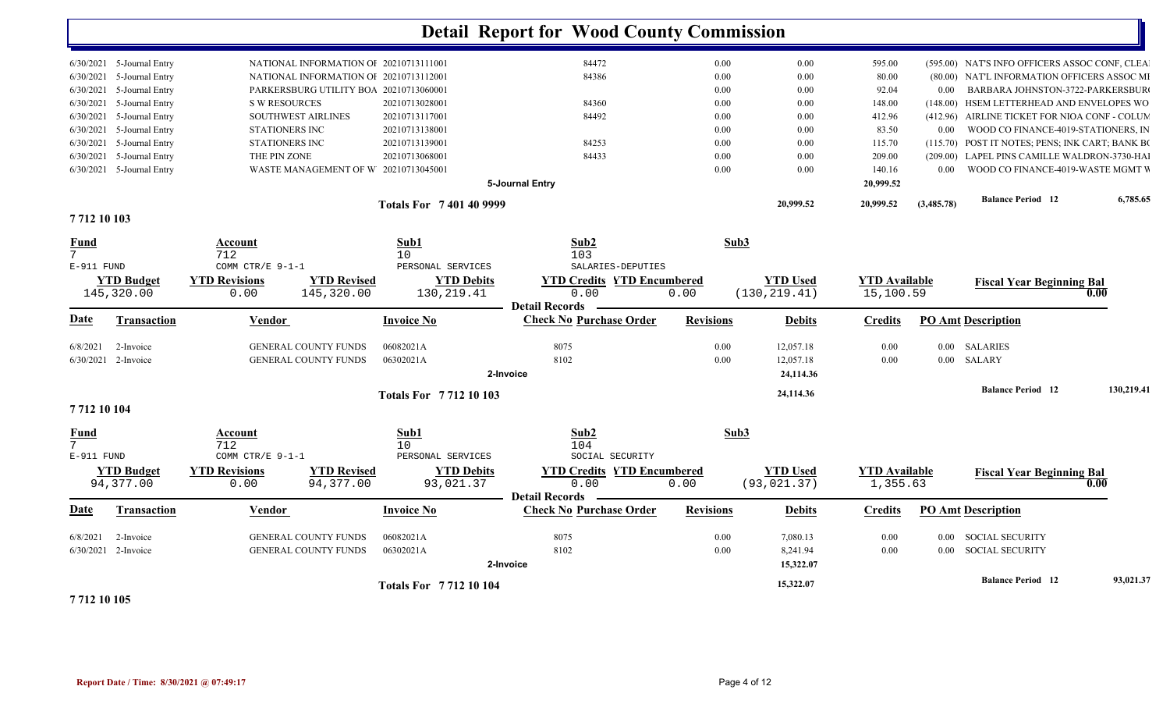|                                                              |                                             |                                                            | <b>Totals For 771210104</b>                  |                                                                    |                  | 15,322.07                         |                                   |                   | <b>Balance Period</b> 12                                                             | 93,021.37  |
|--------------------------------------------------------------|---------------------------------------------|------------------------------------------------------------|----------------------------------------------|--------------------------------------------------------------------|------------------|-----------------------------------|-----------------------------------|-------------------|--------------------------------------------------------------------------------------|------------|
| 2-Invoice<br>6/8/2021<br>6/30/2021 2-Invoice                 |                                             | <b>GENERAL COUNTY FUNDS</b><br><b>GENERAL COUNTY FUNDS</b> | 06082021A<br>06302021A                       | 8075<br>8102<br>2-Invoice                                          | 0.00<br>0.00     | 7,080.13<br>8,241.94<br>15,322.07 | 0.00<br>0.00                      | 0.00<br>0.00      | <b>SOCIAL SECURITY</b><br><b>SOCIAL SECURITY</b>                                     |            |
| Date<br>Transaction                                          | Vendor                                      |                                                            | <b>Invoice No</b>                            | <b>Check No Purchase Order</b>                                     | <b>Revisions</b> | <b>Debits</b>                     | <b>Credits</b>                    |                   | <b>PO Amt Description</b>                                                            |            |
| <b>YTD Budget</b><br>94,377.00                               | <b>YTD Revisions</b><br>0.00                | <b>YTD Revised</b><br>94,377.00                            | <b>YTD Debits</b><br>93,021.37               | <b>YTD Credits YTD Encumbered</b><br>0.00<br><b>Detail Records</b> | 0.00             | <b>YTD Used</b><br>(93, 021.37)   | <b>YTD Available</b><br>1,355.63  |                   | <b>Fiscal Year Beginning Bal</b>                                                     | 0.00       |
| <b>Fund</b><br>$7\overline{ }$<br>E-911 FUND                 | Account<br>712<br>COMM CTR/E 9-1-1          |                                                            | Sub1<br>10 <sup>°</sup><br>PERSONAL SERVICES | Sub2<br>104<br>SOCIAL SECURITY                                     | Sub3             |                                   |                                   |                   |                                                                                      |            |
| 7712 10 104                                                  |                                             |                                                            | <b>Totals For 771210103</b>                  |                                                                    |                  |                                   |                                   |                   |                                                                                      |            |
|                                                              |                                             |                                                            |                                              |                                                                    |                  | 24,114.36                         |                                   |                   | <b>Balance Period 12</b>                                                             | 130,219.41 |
| 6/30/2021 2-Invoice                                          |                                             | <b>GENERAL COUNTY FUNDS</b>                                | 06302021A                                    | 8102<br>2-Invoice                                                  | 0.00             | 12,057.18<br>24,114.36            | 0.00                              | 0.00              | SALARY                                                                               |            |
| 2-Invoice<br>6/8/2021                                        |                                             | <b>GENERAL COUNTY FUNDS</b>                                | 06082021A                                    | 8075                                                               | 0.00             | 12,057.18                         | 0.00                              |                   | 0.00 SALARIES                                                                        |            |
| Date<br>Transaction                                          | Vendor                                      |                                                            | <b>Invoice No</b>                            | <b>Detail Records</b><br><b>Check No Purchase Order</b>            | <b>Revisions</b> | <b>Debits</b>                     | <b>Credits</b>                    |                   | <b>PO Amt Description</b>                                                            |            |
| <b>YTD Budget</b><br>145,320.00                              | <b>YTD Revisions</b><br>0.00                | <b>YTD Revised</b><br>145,320.00                           | <b>YTD Debits</b><br>130, 219.41             | <b>YTD Credits YTD Encumbered</b><br>0.00                          | 0.00             | <b>YTD Used</b><br>(130, 219.41)  | <b>YTD Available</b><br>15,100.59 |                   | <b>Fiscal Year Beginning Bal</b>                                                     | 0.00       |
| E-911 FUND                                                   | COMM CTR/E 9-1-1                            |                                                            | PERSONAL SERVICES                            | SALARIES-DEPUTIES                                                  |                  |                                   |                                   |                   |                                                                                      |            |
| Fund<br>7                                                    | Account<br>712                              |                                                            | Sub1<br>10                                   | Sub2<br>103                                                        | Sub3             |                                   |                                   |                   |                                                                                      |            |
| 7712 10 103                                                  |                                             |                                                            |                                              |                                                                    |                  |                                   |                                   |                   |                                                                                      |            |
|                                                              |                                             |                                                            | <b>Totals For 7401409999</b>                 |                                                                    |                  | 20,999.52                         | 20,999.52                         | (3,485.78)        | <b>Balance Period</b> 12                                                             | 6,785.65   |
| $6/30/2021$ 5-Journal Entry                                  |                                             | WASTE MANAGEMENT OF W 20210713045001                       |                                              | 5-Journal Entry                                                    | 0.00             | 0.00                              | 140.16<br>20,999.52               | 0.00 <sub>1</sub> | WOOD CO FINANCE-4019-WASTE MGMT V                                                    |            |
| 6/30/2021<br>5-Journal Entry                                 | THE PIN ZONE                                |                                                            | 20210713068001                               | 84433                                                              | 0.00             | 0.00                              | 209.00                            |                   | (209.00) LAPEL PINS CAMILLE WALDRON-3730-HAI                                         |            |
| 6/30/2021<br>5-Journal Entry                                 | STATIONERS INC                              |                                                            | 20210713139001                               | 84253                                                              | 0.00             | 0.00                              | 115.70                            |                   | (115.70) POST IT NOTES; PENS; INK CART; BANK BO                                      |            |
| 6/30/2021<br>5-Journal Entry<br>5-Journal Entry<br>6/30/2021 | <b>SOUTHWEST AIRLINES</b><br>STATIONERS INC |                                                            | 20210713117001<br>20210713138001             | 84492                                                              | 0.00<br>0.00     | 0.00<br>0.00                      | 412.96<br>83.50                   | $0.00\,$          | (412.96) AIRLINE TICKET FOR NIOA CONF - COLUM<br>WOOD CO FINANCE-4019-STATIONERS, IN |            |
| 5-Journal Entry<br>6/30/2021                                 | <b>S W RESOURCES</b>                        |                                                            | 20210713028001                               | 84360                                                              | 0.00             | 0.00                              | 148.00                            |                   | (148.00) HSEM LETTERHEAD AND ENVELOPES WO                                            |            |
| 5-Journal Entry<br>6/30/2021                                 |                                             | PARKERSBURG UTILITY BOA 20210713060001                     |                                              |                                                                    | 0.00             | 0.00                              | 92.04                             | 0.00              | BARBARA JOHNSTON-3722-PARKERSBUR                                                     |            |
| 6/30/2021 5-Journal Entry                                    |                                             | NATIONAL INFORMATION OI 20210713112001                     |                                              | 84386                                                              | 0.00             | 0.00                              | 80.00                             |                   | (80.00) NAT'L INFORMATION OFFICERS ASSOC MI                                          |            |
| 6/30/2021 5-Journal Entry                                    |                                             | NATIONAL INFORMATION OI 20210713111001                     |                                              | 84472                                                              | 0.00             | 0.00                              | 595.00                            |                   | (595.00) NAT'S INFO OFFICERS ASSOC CONF, CLEA                                        |            |

**7 712 10 105**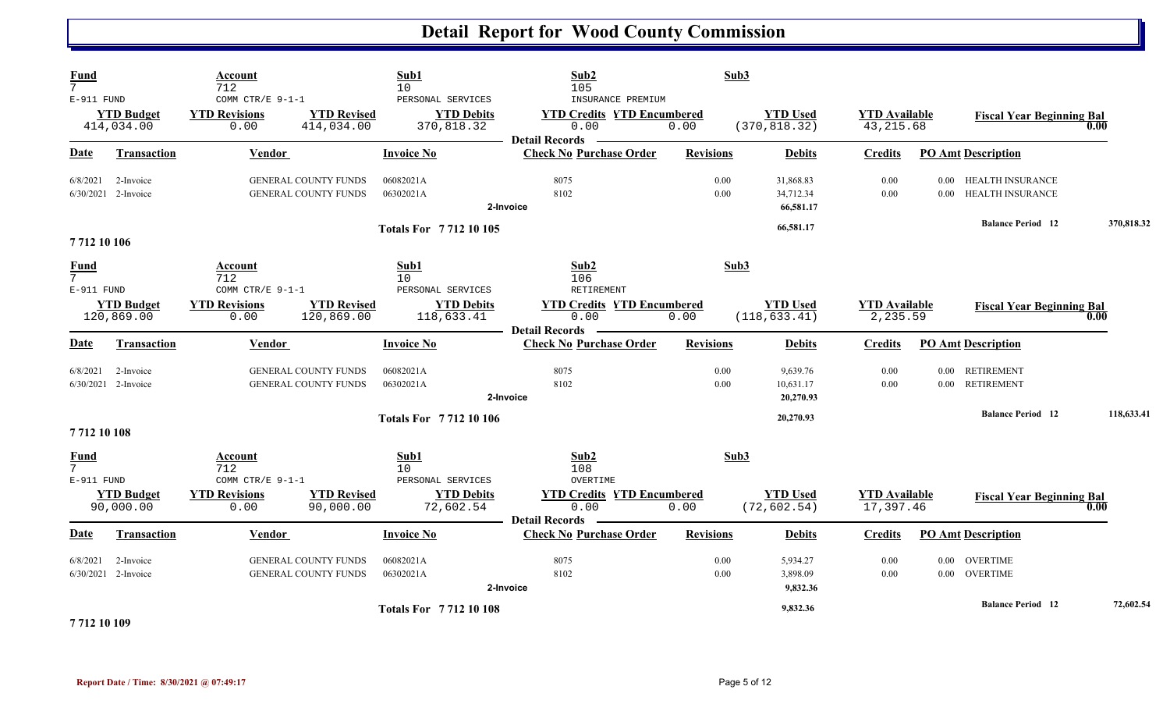| <b>Fund</b><br>7 <sup>1</sup><br>$E-911$ FUND |                                  | Account<br>712<br>COMM CTR/E 9-1-1                         |                                                            | Sub1<br>10<br>PERSONAL SERVICES | Sub2<br>105<br>INSURANCE PREMIUM                                   | Sub3             |                                     |                                    |                  |                                           |            |
|-----------------------------------------------|----------------------------------|------------------------------------------------------------|------------------------------------------------------------|---------------------------------|--------------------------------------------------------------------|------------------|-------------------------------------|------------------------------------|------------------|-------------------------------------------|------------|
|                                               | <b>YTD Budget</b><br>414,034.00  | <b>YTD Revisions</b><br>0.00                               | <b>YTD Revised</b><br>414,034.00                           | <b>YTD Debits</b><br>370,818.32 | <b>YTD Credits YTD Encumbered</b><br>0.00<br>Detail Records —      | 0.00             | <b>YTD Used</b><br>(370, 818.32)    | <b>YTD Available</b><br>43, 215.68 |                  | <b>Fiscal Year Beginning Bal</b>          | 0.00       |
| Date                                          | Transaction                      | Vendor                                                     |                                                            | <b>Invoice No</b>               | <b>Check No Purchase Order</b>                                     | <b>Revisions</b> | <b>Debits</b>                       | <b>Credits</b>                     |                  | <b>PO Amt Description</b>                 |            |
| 6/8/2021                                      | 2-Invoice<br>6/30/2021 2-Invoice |                                                            | <b>GENERAL COUNTY FUNDS</b><br><b>GENERAL COUNTY FUNDS</b> | 06082021A<br>06302021A          | 8075<br>8102<br>2-Invoice                                          | 0.00<br>0.00     | 31,868.83<br>34,712.34<br>66,581.17 | 0.00<br>0.00                       | 0.00             | 0.00 HEALTH INSURANCE<br>HEALTH INSURANCE |            |
| 7712 10 106                                   |                                  |                                                            |                                                            | <b>Totals For 771210105</b>     |                                                                    |                  | 66,581.17                           |                                    |                  | <b>Balance Period</b> 12                  | 370,818.32 |
| <b>Fund</b><br>$7\overline{ }$<br>E-911 FUND  |                                  | Account<br>712<br>COMM CTR/E 9-1-1                         |                                                            | Sub1<br>10<br>PERSONAL SERVICES | Sub2<br>106<br>RETIREMENT                                          | Sub3             |                                     |                                    |                  |                                           |            |
|                                               | <b>YTD Budget</b><br>120,869.00  | <b>YTD Revisions</b><br>0.00                               | <b>YTD Revised</b><br>120,869.00                           | <b>YTD Debits</b><br>118,633.41 | <b>YTD Credits YTD Encumbered</b><br>0.00<br><b>Detail Records</b> | 0.00             | <b>YTD Used</b><br>(118, 633.41)    | <b>YTD Available</b><br>2,235.59   |                  | <b>Fiscal Year Beginning Bal</b>          | 0.00       |
| <b>Date</b>                                   | <b>Transaction</b>               | Vendor                                                     |                                                            | <b>Invoice No</b>               | <b>Check No Purchase Order</b>                                     | <b>Revisions</b> | <b>Debits</b>                       | <b>Credits</b>                     |                  | <b>PO Amt Description</b>                 |            |
| 6/8/2021                                      | 2-Invoice<br>6/30/2021 2-Invoice | <b>GENERAL COUNTY FUNDS</b><br><b>GENERAL COUNTY FUNDS</b> |                                                            | 06082021A<br>06302021A          | 8075<br>8102<br>2-Invoice                                          | 0.00<br>0.00     | 9,639.76<br>10,631.17<br>20,270.93  | 0.00<br>0.00                       | $0.00\,$         | <b>RETIREMENT</b><br>0.00 RETIREMENT      |            |
| 7712 10 108                                   |                                  |                                                            |                                                            | <b>Totals For 771210106</b>     |                                                                    |                  | 20,270.93                           |                                    |                  | <b>Balance Period 12</b>                  | 118,633.41 |
| <b>Fund</b><br>7 <sup>1</sup><br>$E-911$ FUND |                                  | Account<br>712<br>COMM CTR/E 9-1-1                         |                                                            | Sub1<br>10<br>PERSONAL SERVICES | Sub2<br>108<br>OVERTIME                                            | Sub3             |                                     |                                    |                  |                                           |            |
|                                               | <b>YTD Budget</b><br>90,000.00   | <b>YTD Revisions</b><br>0.00                               | <b>YTD Revised</b><br>90,000.00                            | <b>YTD Debits</b><br>72,602.54  | <b>YTD Credits YTD Encumbered</b><br>0.00<br><b>Detail Records</b> | 0.00             | <b>YTD Used</b><br>(72, 602.54)     | <b>YTD</b> Available<br>17,397.46  |                  | <b>Fiscal Year Beginning Bal</b>          | 0.00       |
| Date                                          | <b>Transaction</b>               | Vendor                                                     |                                                            | <b>Invoice No</b>               | <b>Check No Purchase Order</b>                                     | <b>Revisions</b> | <b>Debits</b>                       | <b>Credits</b>                     |                  | <b>PO Amt Description</b>                 |            |
| 6/8/2021                                      | 2-Invoice<br>6/30/2021 2-Invoice |                                                            | <b>GENERAL COUNTY FUNDS</b><br>GENERAL COUNTY FUNDS        | 06082021A<br>06302021A          | 8075<br>8102<br>2-Invoice                                          | 0.00<br>0.00     | 5,934.27<br>3,898.09<br>9,832.36    | 0.00<br>0.00                       | 0.00<br>$0.00\,$ | <b>OVERTIME</b><br><b>OVERTIME</b>        |            |
| 7712 10 109                                   |                                  |                                                            |                                                            | <b>Totals For 771210108</b>     |                                                                    |                  | 9,832.36                            |                                    |                  | <b>Balance Period 12</b>                  | 72,602.54  |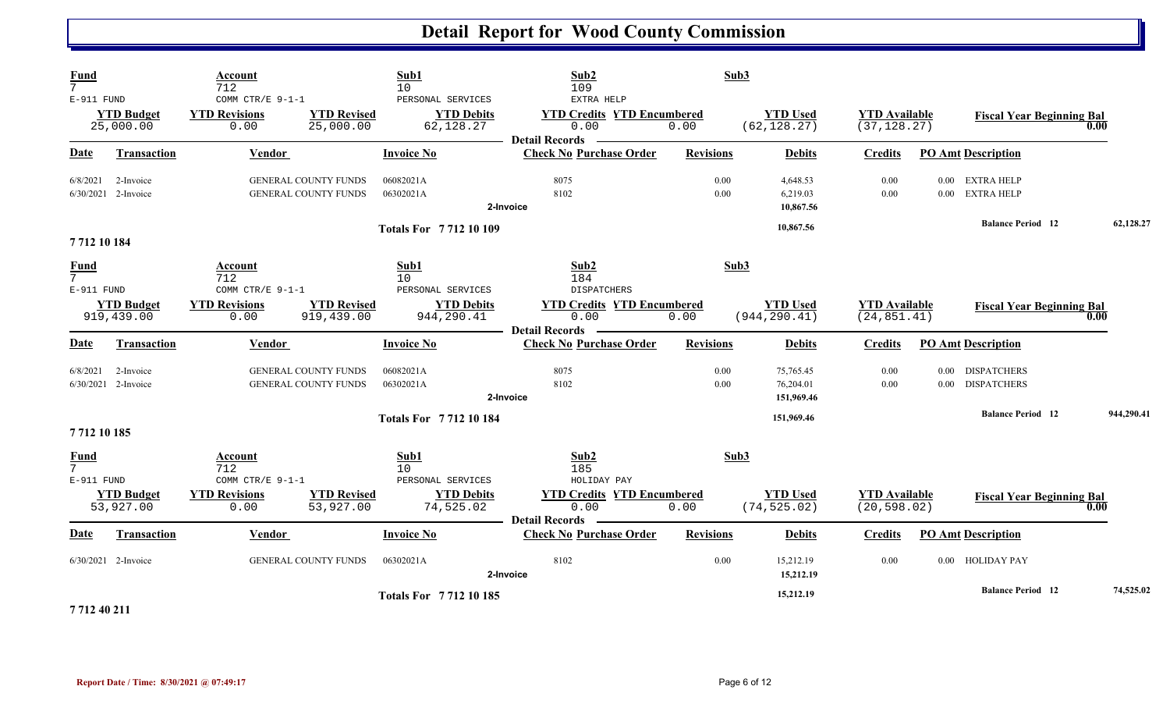| <b>Fund</b><br>$7\overline{ }$<br>E-911 FUND | <b>YTD Budget</b><br>25,000.00   | Account<br>712<br>COMM CTR/E 9-1-1<br><b>YTD Revisions</b><br>0.00 | <b>YTD Revised</b><br>25,000.00  | Sub1<br>10<br>PERSONAL SERVICES<br><b>YTD Debits</b><br>62,128.27 | Sub2<br>109<br>EXTRA HELP<br><b>YTD Credits YTD Encumbered</b><br>0.00 | Sub3<br>0.00     | <b>YTD Used</b><br>(62, 128.27)  | <b>YTD Available</b><br>(37, 128.27) | <b>Fiscal Year Beginning Bal</b>     | 0.00       |
|----------------------------------------------|----------------------------------|--------------------------------------------------------------------|----------------------------------|-------------------------------------------------------------------|------------------------------------------------------------------------|------------------|----------------------------------|--------------------------------------|--------------------------------------|------------|
| <b>Date</b>                                  | <b>Transaction</b>               | Vendor                                                             |                                  | <b>Invoice No</b>                                                 | <b>Detail Records</b><br><b>Check No Purchase Order</b>                | <b>Revisions</b> | <b>Debits</b>                    | Credits                              | <b>PO Amt Description</b>            |            |
|                                              |                                  |                                                                    |                                  |                                                                   |                                                                        |                  |                                  |                                      |                                      |            |
| 6/8/2021                                     | 2-Invoice<br>6/30/2021 2-Invoice | GENERAL COUNTY FUNDS<br><b>GENERAL COUNTY FUNDS</b>                |                                  | 06082021A<br>06302021A                                            | 8075<br>8102                                                           | 0.00<br>0.00     | 4,648.53<br>6,219.03             | 0.00<br>0.00                         | 0.00 EXTRA HELP<br>0.00 EXTRA HELP   |            |
|                                              |                                  |                                                                    |                                  |                                                                   | 2-Invoice                                                              |                  | 10,867.56                        |                                      |                                      |            |
|                                              |                                  |                                                                    |                                  | <b>Totals For 771210109</b>                                       |                                                                        |                  | 10.867.56                        |                                      | <b>Balance Period</b> 12             | 62,128.27  |
| 7712 10 184                                  |                                  |                                                                    |                                  |                                                                   |                                                                        |                  |                                  |                                      |                                      |            |
| <b>Fund</b><br>$\overline{7}$<br>E-911 FUND  |                                  | Account<br>712<br>COMM CTR/E 9-1-1                                 |                                  | Sub1<br>10<br>PERSONAL SERVICES                                   | Sub2<br>184<br><b>DISPATCHERS</b>                                      | Sub3             |                                  |                                      |                                      |            |
|                                              | <b>YTD Budget</b><br>919,439.00  | <b>YTD Revisions</b><br>0.00                                       | <b>YTD Revised</b><br>919,439.00 | <b>YTD Debits</b><br>944,290.41                                   | <b>YTD Credits YTD Encumbered</b><br>0.00<br><b>Detail Records</b>     | 0.00             | <b>YTD Used</b><br>(944, 290.41) | <b>YTD Available</b><br>(24, 851.41) | <b>Fiscal Year Beginning Bal</b>     | 0.00       |
| Date                                         | <b>Transaction</b>               | Vendor                                                             |                                  | <b>Invoice No</b>                                                 | <b>Check No Purchase Order</b>                                         | <b>Revisions</b> | <b>Debits</b>                    | <b>Credits</b>                       | <b>PO Amt Description</b>            |            |
| 6/8/2021                                     | 2-Invoice<br>6/30/2021 2-Invoice | GENERAL COUNTY FUNDS<br><b>GENERAL COUNTY FUNDS</b>                |                                  | 06082021A<br>06302021A                                            | 8075<br>8102                                                           | 0.00<br>0.00     | 75,765.45<br>76,204.01           | 0.00<br>0.00                         | 0.00 DISPATCHERS<br>0.00 DISPATCHERS |            |
|                                              |                                  |                                                                    |                                  |                                                                   | 2-Invoice                                                              |                  | 151,969.46                       |                                      | <b>Balance Period</b> 12             | 944,290.41 |
| 7712 10 185                                  |                                  |                                                                    |                                  | <b>Totals For 771210184</b>                                       |                                                                        |                  | 151,969.46                       |                                      |                                      |            |
| <b>Fund</b><br>7 <sup>7</sup><br>E-911 FUND  |                                  | Account<br>712<br>COMM CTR/E 9-1-1                                 |                                  | Sub1<br>10<br>PERSONAL SERVICES                                   | Sub2<br>185<br>HOLIDAY PAY                                             | Sub3             |                                  |                                      |                                      |            |
|                                              | <b>YTD Budget</b><br>53,927.00   | <b>YTD Revisions</b><br>0.00                                       | <b>YTD Revised</b><br>53,927.00  | <b>YTD Debits</b><br>74,525.02                                    | <b>YTD Credits YTD Encumbered</b><br>0.00<br>Detail Records —          | 0.00             | <b>YTD</b> Used<br>(74, 525.02)  | <b>YTD</b> Available<br>(20, 598.02) | <b>Fiscal Year Beginning Bal</b>     | 0.00       |
| <b>Date</b>                                  | <b>Transaction</b>               | <b>Vendor</b>                                                      |                                  | <b>Invoice No</b>                                                 | <b>Check No Purchase Order</b>                                         | <b>Revisions</b> | <b>Debits</b>                    | <b>Credits</b>                       | <b>PO Amt Description</b>            |            |
|                                              | $6/30/2021$ 2-Invoice            | <b>GENERAL COUNTY FUNDS</b>                                        |                                  | 06302021A                                                         | 8102<br>2-Invoice                                                      | 0.00             | 15,212.19<br>15,212.19           | 0.00                                 | 0.00 HOLIDAY PAY                     |            |
|                                              | .                                |                                                                    |                                  | <b>Totals For 771210185</b>                                       |                                                                        |                  | 15,212.19                        |                                      | <b>Balance Period 12</b>             | 74,525.02  |

**7 712 40 211**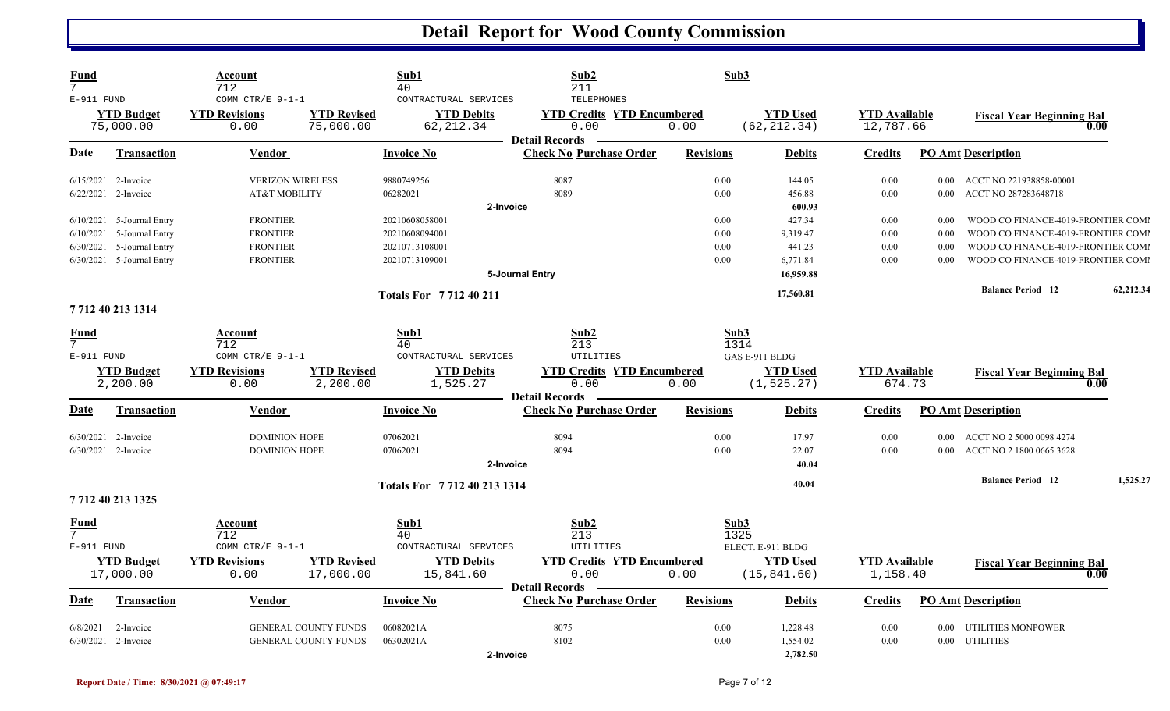| Fund<br>7<br>E-911 FUND        |                                                            | Account<br>712<br>COMM CTR/E 9-1-1                                   |                                                            | Sub1<br>40<br>CONTRACTURAL SERVICES                                   | Sub2<br>211<br>TELEPHONES                                             | Sub3                 |                                                      |                                   |                           |                                                                          |           |
|--------------------------------|------------------------------------------------------------|----------------------------------------------------------------------|------------------------------------------------------------|-----------------------------------------------------------------------|-----------------------------------------------------------------------|----------------------|------------------------------------------------------|-----------------------------------|---------------------------|--------------------------------------------------------------------------|-----------|
|                                | <b>YTD Budget</b><br>75,000.00                             | <b>YTD Revisions</b><br>0.00                                         | <b>YTD Revised</b><br>75,000.00                            | <b>YTD Debits</b><br>62, 212.34                                       | <b>YTD Credits YTD Encumbered</b><br>0.00                             | 0.00                 | <b>YTD Used</b><br>(62, 212.34)                      | <b>YTD Available</b><br>12,787.66 |                           | <b>Fiscal Year Beginning Bal</b>                                         | 0.00      |
| Date                           | <b>Transaction</b>                                         | <b>Vendor</b>                                                        |                                                            | <b>Invoice No</b>                                                     | <b>Detail Records</b><br><b>Check No Purchase Order</b>               | <b>Revisions</b>     | <b>Debits</b>                                        | <b>Credits</b>                    |                           | <b>PO Amt Description</b>                                                |           |
|                                | 6/15/2021 2-Invoice<br>6/22/2021 2-Invoice                 | <b>VERIZON WIRELESS</b><br><b>AT&amp;T MOBILITY</b>                  |                                                            | 9880749256<br>06282021                                                | 8087<br>8089                                                          | 0.00<br>0.00         | 144.05<br>456.88                                     | 0.00<br>0.00                      | 0.00 <sub>1</sub><br>0.00 | ACCT NO 221938858-00001<br>ACCT NO 287283648718                          |           |
|                                | $6/10/2021$ 5-Journal Entry<br>$6/10/2021$ 5-Journal Entry | <b>FRONTIER</b><br><b>FRONTIER</b>                                   |                                                            | 2-Invoice<br>20210608058001<br>20210608094001                         |                                                                       | 0.00<br>0.00         | 600.93<br>427.34<br>9,319.47                         | 0.00<br>0.00                      | 0.00<br>0.00              | WOOD CO FINANCE-4019-FRONTIER COMI<br>WOOD CO FINANCE-4019-FRONTIER COMI |           |
|                                | 6/30/2021 5-Journal Entry<br>6/30/2021 5-Journal Entry     | <b>FRONTIER</b><br><b>FRONTIER</b>                                   |                                                            | 20210713108001<br>20210713109001                                      | 5-Journal Entry                                                       | 0.00<br>0.00         | 441.23<br>6,771.84<br>16,959.88                      | 0.00<br>0.00                      | 0.00<br>0.00              | WOOD CO FINANCE-4019-FRONTIER COMI<br>WOOD CO FINANCE-4019-FRONTIER COMI |           |
|                                | 7 712 40 213 1314                                          |                                                                      |                                                            | <b>Totals For 771240211</b>                                           |                                                                       |                      | 17,560.81                                            |                                   |                           | <b>Balance Period 12</b>                                                 | 62,212.34 |
| <u>Fund</u><br>7<br>E-911 FUND |                                                            | Account<br>712<br>COMM CTR/E $9-1-1$<br><b>YTD Revisions</b>         | <b>YTD Revised</b>                                         | Sub1<br>40<br>CONTRACTURAL SERVICES<br><b>YTD Debits</b>              | Sub2<br>213<br>UTILITIES<br><b>YTD Credits YTD Encumbered</b>         | Sub3<br>1314         | GAS E-911 BLDG<br><b>YTD Used</b>                    | <b>YTD Available</b>              |                           |                                                                          |           |
|                                | <b>YTD</b> Budget<br>2,200.00                              | 0.00                                                                 | 2,200.00                                                   | 1,525.27                                                              | 0.00<br><b>Detail Records</b>                                         | 0.00                 | (1, 525.27)                                          | 674.73                            |                           | <b>Fiscal Year Beginning Bal</b>                                         | 0.00      |
| Date                           | <b>Transaction</b>                                         | <b>Vendor</b>                                                        |                                                            | <b>Invoice No</b>                                                     | <b>Check No Purchase Order</b>                                        | <b>Revisions</b>     | <b>Debits</b>                                        | <b>Credits</b>                    |                           | <b>PO Amt Description</b>                                                |           |
|                                | $6/30/2021$ 2-Invoice<br>$6/30/2021$ 2-Invoice             | <b>DOMINION HOPE</b><br><b>DOMINION HOPE</b>                         |                                                            | 07062021<br>07062021<br>2-Invoice                                     | 8094<br>8094                                                          | 0.00<br>0.00         | 17.97<br>22.07<br>40.04                              | 0.00<br>0.00                      | 0.00 <sub>1</sub><br>0.00 | ACCT NO 2 5000 0098 4274<br>ACCT NO 2 1800 0665 3628                     |           |
|                                | 7 712 40 213 1325                                          |                                                                      |                                                            | Totals For 7712 40 213 1314                                           |                                                                       |                      | 40.04                                                |                                   |                           | <b>Balance Period 12</b>                                                 | 1,525.27  |
| <u>Fund</u><br>7<br>E-911 FUND | <b>YTD Budget</b><br>17,000.00                             | Account<br>712<br>COMM CTR/E $9-1-1$<br><b>YTD Revisions</b><br>0.00 | <b>YTD Revised</b><br>17,000.00                            | Sub1<br>40<br>CONTRACTURAL SERVICES<br><b>YTD Debits</b><br>15,841.60 | Sub2<br>213<br>UTILITIES<br><b>YTD Credits YTD Encumbered</b><br>0.00 | Sub3<br>1325<br>0.00 | ELECT. E-911 BLDG<br><b>YTD</b> Used<br>(15, 841.60) | <b>YTD</b> Available<br>1,158.40  |                           | <b>Fiscal Year Beginning Bal</b>                                         | 0.00      |
| Date                           | Transaction                                                | <b>Vendor</b>                                                        |                                                            | <b>Invoice No</b>                                                     | <b>Detail Records</b><br><b>Check No Purchase Order</b>               | <b>Revisions</b>     | <b>Debits</b>                                        | <b>Credits</b>                    |                           | <b>PO Amt Description</b>                                                |           |
| 6/8/2021                       | 2-Invoice<br>6/30/2021 2-Invoice                           |                                                                      | <b>GENERAL COUNTY FUNDS</b><br><b>GENERAL COUNTY FUNDS</b> | 06082021A<br>06302021A<br>2-Invoice                                   | 8075<br>8102                                                          | 0.00<br>0.00         | 1,228.48<br>1,554.02<br>2,782.50                     | 0.00<br>0.00                      | 0.00                      | <b>UTILITIES MONPOWER</b><br>0.00 UTILITIES                              |           |

l,

l,

l,

l,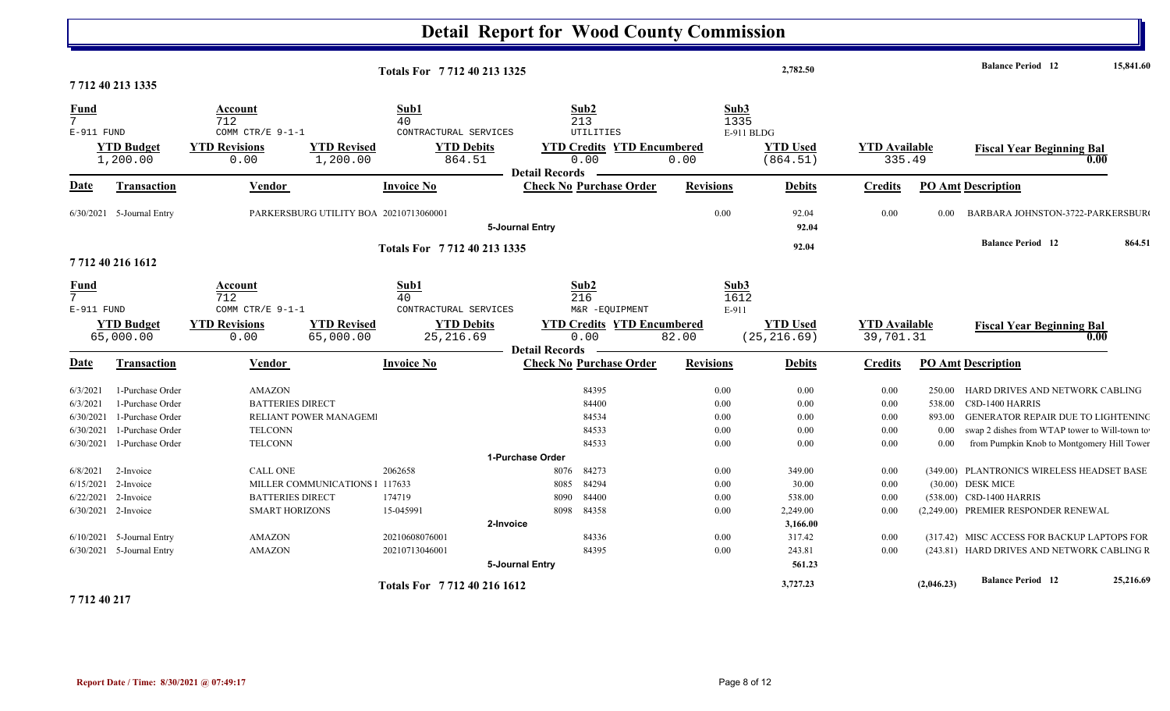|                                                             |                                                                                                  |                                                                              |                                        |                                                                    | <b>Detail Report for Wood County Commission</b> |                                                                       |                                                          |                                                    |                                      |                                                |                                                                                                                                                                                                |           |
|-------------------------------------------------------------|--------------------------------------------------------------------------------------------------|------------------------------------------------------------------------------|----------------------------------------|--------------------------------------------------------------------|-------------------------------------------------|-----------------------------------------------------------------------|----------------------------------------------------------|----------------------------------------------------|--------------------------------------|------------------------------------------------|------------------------------------------------------------------------------------------------------------------------------------------------------------------------------------------------|-----------|
|                                                             |                                                                                                  |                                                                              |                                        | Totals For 7712 40 213 1325                                        |                                                 |                                                                       |                                                          | 2,782.50                                           |                                      |                                                | <b>Balance Period</b> 12                                                                                                                                                                       | 15,841.60 |
|                                                             | 7712 40 213 1335                                                                                 |                                                                              |                                        |                                                                    |                                                 |                                                                       |                                                          |                                                    |                                      |                                                |                                                                                                                                                                                                |           |
| <b>Fund</b><br>$7\overline{ }$<br>E-911 FUND                | <b>YTD Budget</b><br>1,200.00                                                                    | Account<br>712<br>COMM CTR/E 9-1-1<br><b>YTD Revisions</b><br>0.00           | <b>YTD Revised</b><br>1,200.00         | Sub1<br>40<br>CONTRACTURAL SERVICES<br><b>YTD Debits</b><br>864.51 | <b>Detail Records</b>                           | Sub2<br>213<br>UTILITIES<br><b>YTD Credits YTD Encumbered</b><br>0.00 | Sub3<br>1335<br>0.00                                     | E-911 BLDG<br><b>YTD Used</b><br>(864.51)          | <b>YTD Available</b><br>335.49       |                                                | <b>Fiscal Year Beginning Bal</b>                                                                                                                                                               | 0.00      |
| Date                                                        | Transaction                                                                                      | <b>Vendor</b>                                                                |                                        | <b>Invoice No</b>                                                  |                                                 | <b>Check No Purchase Order</b>                                        | <b>Revisions</b>                                         | <b>Debits</b>                                      | <b>Credits</b>                       |                                                | <b>PO Amt Description</b>                                                                                                                                                                      |           |
|                                                             | $6/30/2021$ 5-Journal Entry                                                                      |                                                                              | PARKERSBURG UTILITY BOA 20210713060001 |                                                                    | 5-Journal Entry                                 |                                                                       | 0.00                                                     | 92.04<br>92.04                                     | 0.00                                 | 0.00                                           | BARBARA JOHNSTON-3722-PARKERSBUR                                                                                                                                                               |           |
|                                                             | 7712 40 216 1612                                                                                 |                                                                              |                                        | Totals For 7712 40 213 1335                                        |                                                 |                                                                       |                                                          | 92.04                                              |                                      |                                                | <b>Balance Period 12</b>                                                                                                                                                                       | 864.51    |
| <b>Fund</b><br>$7\overline{ }$<br>E-911 FUND                |                                                                                                  | Account<br>712<br>COMM CTR/E 9-1-1                                           |                                        | Sub1<br>40<br>CONTRACTURAL SERVICES                                |                                                 | Sub2<br>216<br>M&R -EQUIPMENT                                         | Sub3<br>1612<br>E-911                                    |                                                    |                                      |                                                |                                                                                                                                                                                                |           |
|                                                             | <b>YTD Budget</b><br>65,000.00                                                                   | <b>YTD Revisions</b><br>0.00                                                 | <b>YTD Revised</b><br>65,000.00        | <b>YTD Debits</b><br>25, 216.69                                    |                                                 | <b>YTD Credits YTD Encumbered</b><br>0.00                             | 82.00                                                    | <b>YTD Used</b><br>(25, 216.69)                    | <b>YTD Available</b><br>39,701.31    |                                                | <b>Fiscal Year Beginning Bal</b>                                                                                                                                                               | 0.00      |
| Date                                                        | <b>Transaction</b>                                                                               | Vendor                                                                       |                                        | <b>Invoice No</b>                                                  | <b>Detail Records</b>                           | <b>Check No Purchase Order</b>                                        | <b>Revisions</b>                                         | <b>Debits</b>                                      | <b>Credits</b>                       |                                                | <b>PO Amt Description</b>                                                                                                                                                                      |           |
| 6/3/2021<br>6/3/2021<br>6/30/2021<br>6/30/2021<br>6/30/2021 | 1-Purchase Order<br>1-Purchase Order<br>1-Purchase Order<br>1-Purchase Order<br>1-Purchase Order | <b>AMAZON</b><br><b>BATTERIES DIRECT</b><br><b>TELCONN</b><br><b>TELCONN</b> | RELIANT POWER MANAGEM                  |                                                                    |                                                 | 84395<br>84400<br>84534<br>84533<br>84533                             | $0.00\,$<br>$0.00\,$<br>$0.00\,$<br>$0.00\,$<br>$0.00\,$ | 0.00<br>0.00<br>0.00<br>0.00<br>0.00               | 0.00<br>0.00<br>0.00<br>0.00<br>0.00 | 250.00<br>538.00<br>893.00<br>$0.00\,$<br>0.00 | HARD DRIVES AND NETWORK CABLING<br>C8D-1400 HARRIS<br><b>GENERATOR REPAIR DUE TO LIGHTENING</b><br>swap 2 dishes from WTAP tower to Will-town to<br>from Pumpkin Knob to Montgomery Hill Tower |           |
| 6/8/2021<br>6/15/2021<br>6/22/2021                          | 2-Invoice<br>2-Invoice<br>2-Invoice                                                              | <b>CALL ONE</b><br><b>BATTERIES DIRECT</b>                                   | MILLER COMMUNICATIONS 1 117633         | 2062658<br>174719                                                  | 1-Purchase Order<br>8076<br>8085<br>8090        | 84273<br>84294<br>84400                                               | $0.00\,$<br>0.00<br>0.00                                 | 349.00<br>30.00<br>538.00                          | 0.00<br>0.00<br>0.00                 |                                                | (349.00) PLANTRONICS WIRELESS HEADSET BASE<br>(30.00) DESK MICE<br>(538.00) C8D-1400 HARRIS                                                                                                    |           |
|                                                             | 6/30/2021 2-Invoice<br>$6/10/2021$ 5-Journal Entry<br>6/30/2021 5-Journal Entry                  | <b>SMART HORIZONS</b><br><b>AMAZON</b><br><b>AMAZON</b>                      |                                        | 15-045991<br>20210608076001<br>20210713046001                      | 8098<br>2-Invoice<br>5-Journal Entry            | 84358<br>84336<br>84395                                               | 0.00<br>$0.00\,$<br>0.00                                 | 2,249.00<br>3,166.00<br>317.42<br>243.81<br>561.23 | 0.00<br>0.00<br>0.00                 |                                                | (2,249.00) PREMIER RESPONDER RENEWAL<br>(317.42) MISC ACCESS FOR BACKUP LAPTOPS FOR<br>(243.81) HARD DRIVES AND NETWORK CABLING R                                                              |           |
|                                                             |                                                                                                  |                                                                              |                                        | Totals For 7712 40 216 1612                                        |                                                 |                                                                       |                                                          | 3,727.23                                           |                                      | (2,046.23)                                     | <b>Balance Period</b> 12                                                                                                                                                                       | 25,216.69 |

**7 712 40 217**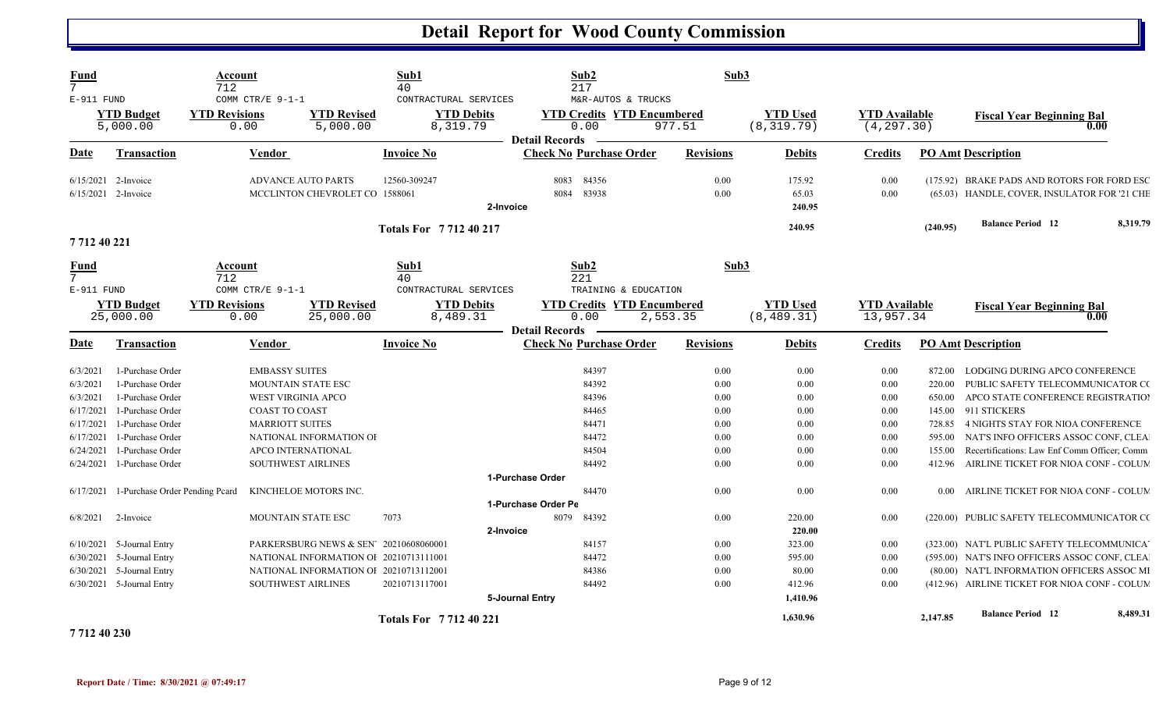| Fund                                 |                                                          | Account<br>712                                   |                                                                                  | Sub1<br>40                                             | Sub2<br>217                                 |                                                                   | Sub3                                         |                                     |                  |                                                                                               |  |
|--------------------------------------|----------------------------------------------------------|--------------------------------------------------|----------------------------------------------------------------------------------|--------------------------------------------------------|---------------------------------------------|-------------------------------------------------------------------|----------------------------------------------|-------------------------------------|------------------|-----------------------------------------------------------------------------------------------|--|
| E-911 FUND                           | <b>YTD Budget</b><br>5,000.00                            | COMM CTR/E 9-1-1<br><b>YTD Revisions</b><br>0.00 | <b>YTD Revised</b><br>5,000.00                                                   | CONTRACTURAL SERVICES<br><b>YTD Debits</b><br>8,319.79 | 0.00<br><b>Detail Records</b>               | M&R-AUTOS & TRUCKS<br><b>YTD Credits YTD Encumbered</b><br>977.51 | <b>YTD Used</b><br>(8, 319.79)               | <b>YTD Available</b><br>(4, 297.30) |                  | <b>Fiscal Year Beginning Bal</b><br>0.00                                                      |  |
| Date                                 | <b>Transaction</b>                                       | <b>Vendor</b>                                    |                                                                                  | <b>Invoice No</b>                                      | <b>Check No Purchase Order</b>              | <b>Revisions</b>                                                  | <b>Debits</b>                                | <b>Credits</b>                      |                  | <b>PO Amt Description</b>                                                                     |  |
| 6/15/2021                            | 2-Invoice<br>6/15/2021 2-Invoice                         |                                                  | <b>ADVANCE AUTO PARTS</b><br>MCCLINTON CHEVROLET CO 1588061                      | 12560-309247                                           | 84356<br>8083<br>83938<br>8084<br>2-Invoice | 0.00                                                              | 175.92<br>0.00<br>65.03<br>240.95            | 0.00<br>0.00                        |                  | (175.92) BRAKE PADS AND ROTORS FOR FORD ESC<br>(65.03) HANDLE, COVER, INSULATOR FOR '21 CHE   |  |
|                                      |                                                          |                                                  |                                                                                  | Totals For 771240217                                   |                                             |                                                                   | 240.95                                       |                                     | (240.95)         | <b>Balance Period 12</b><br>8,319.79                                                          |  |
| 771240221                            |                                                          |                                                  |                                                                                  |                                                        |                                             |                                                                   |                                              |                                     |                  |                                                                                               |  |
| Fund<br>$\overline{7}$<br>E-911 FUND |                                                          | Account<br>712<br>COMM CTR/E 9-1-1               |                                                                                  | Sub1<br>40<br>CONTRACTURAL SERVICES                    | Sub2<br>221                                 | TRAINING & EDUCATION                                              | Sub3                                         |                                     |                  |                                                                                               |  |
|                                      | <b>YTD Budget</b><br>25,000.00                           | <b>YTD Revisions</b><br>0.00                     | <b>YTD Revised</b><br>25,000.00                                                  | <b>YTD Debits</b><br>8,489.31                          | 0.00<br><b>Detail Records</b>               | <b>YTD Credits YTD Encumbered</b><br>2,553.35                     | <b>YTD</b> Used<br>(8, 489.31)               | <b>YTD</b> Available<br>13,957.34   |                  | <b>Fiscal Year Beginning Bal</b><br>0.00                                                      |  |
| Date                                 | Transaction                                              | <b>Vendor</b>                                    |                                                                                  | <b>Invoice No</b>                                      | <b>Check No Purchase Order</b>              | <b>Revisions</b>                                                  | <b>Debits</b>                                | <b>Credits</b>                      |                  | <b>PO Amt Description</b>                                                                     |  |
| 6/3/2021<br>6/3/2021                 | 1-Purchase Order<br>1-Purchase Order                     |                                                  | <b>EMBASSY SUITES</b><br>MOUNTAIN STATE ESC                                      |                                                        | 84397<br>84392                              |                                                                   | 0.00<br>0.00<br>0.00<br>0.00                 | 0.00<br>0.00                        | 872.00<br>220.00 | LODGING DURING APCO CONFERENCE<br>PUBLIC SAFETY TELECOMMUNICATOR CO                           |  |
| 6/3/2021<br>6/17/2021<br>6/17/2021   | 1-Purchase Order<br>1-Purchase Order<br>1-Purchase Order |                                                  | <b>WEST VIRGINIA APCO</b><br><b>COAST TO COAST</b><br><b>MARRIOTT SUITES</b>     |                                                        | 84396<br>84465<br>84471                     |                                                                   | 0.00<br>0.00<br>0.00<br>0.00<br>0.00<br>0.00 | 0.00<br>$0.00\,$<br>0.00            | 650.00<br>728.85 | APCO STATE CONFERENCE REGISTRATIO<br>145.00 911 STICKERS<br>4 NIGHTS STAY FOR NIOA CONFERENCE |  |
| 6/17/2021<br>6/24/2021               | 1-Purchase Order<br>1-Purchase Order                     |                                                  | NATIONAL INFORMATION OI<br>APCO INTERNATIONAL                                    |                                                        | 84472<br>84504                              |                                                                   | 0.00<br>0.00<br>0.00<br>0.00                 | 0.00<br>0.00                        | 595.00<br>155.00 | NAT'S INFO OFFICERS ASSOC CONF, CLEA<br>Recertifications: Law Enf Comm Officer; Comm          |  |
| 6/24/2021                            | 1-Purchase Order                                         |                                                  | <b>SOUTHWEST AIRLINES</b><br>KINCHELOE MOTORS INC.                               |                                                        | 84492<br>1-Purchase Order<br>84470          |                                                                   | 0.00<br>0.00<br>0.00<br>0.00                 | 0.00<br>0.00                        | 412.96           | AIRLINE TICKET FOR NIOA CONF - COLUM<br>AIRLINE TICKET FOR NIOA CONF - COLUM                  |  |
| 6/17/2021<br>6/8/2021                | 1-Purchase Order Pending Peard<br>2-Invoice              |                                                  | MOUNTAIN STATE ESC                                                               | 7073                                                   | 1-Purchase Order Pe<br>8079<br>84392        |                                                                   | 0.00<br>220.00                               | 0.00                                | 0.00             | (220.00) PUBLIC SAFETY TELECOMMUNICATOR CO                                                    |  |
|                                      | $6/10/2021$ 5-Journal Entry                              |                                                  | PARKERSBURG NEWS & SEN 20210608060001                                            |                                                        | 2-Invoice<br>84157                          |                                                                   | 220.00<br>323.00<br>0.00                     | 0.00                                |                  | (323.00) NAT'L PUBLIC SAFETY TELECOMMUNICA                                                    |  |
| 6/30/2021                            | 5-Journal Entry<br>6/30/2021 5-Journal Entry             |                                                  | NATIONAL INFORMATION OF 20210713111001<br>NATIONAL INFORMATION OI 20210713112001 |                                                        | 84472<br>84386                              |                                                                   | 0.00<br>595.00<br>0.00<br>80.00              | 0.00<br>0.00                        |                  | (595.00) NAT'S INFO OFFICERS ASSOC CONF, CLEA<br>(80.00) NAT'L INFORMATION OFFICERS ASSOC MI  |  |
|                                      | $6/30/2021$ 5-Journal Entry                              |                                                  | <b>SOUTHWEST AIRLINES</b>                                                        | 20210713117001                                         | 84492<br>5-Journal Entry                    |                                                                   | 0.00<br>412.96<br>1,410.96                   | 0.00                                |                  | (412.96) AIRLINE TICKET FOR NIOA CONF - COLUM                                                 |  |
| 7 7 1 2 4 0 2 3 0                    |                                                          |                                                  |                                                                                  | <b>Totals For 771240221</b>                            |                                             |                                                                   | 1,630.96                                     |                                     | 2,147.85         | <b>Balance Period 12</b><br>8,489.31                                                          |  |

**Report Date / Time: 8/30/2021 @ 07:49:17** Page 9 of 12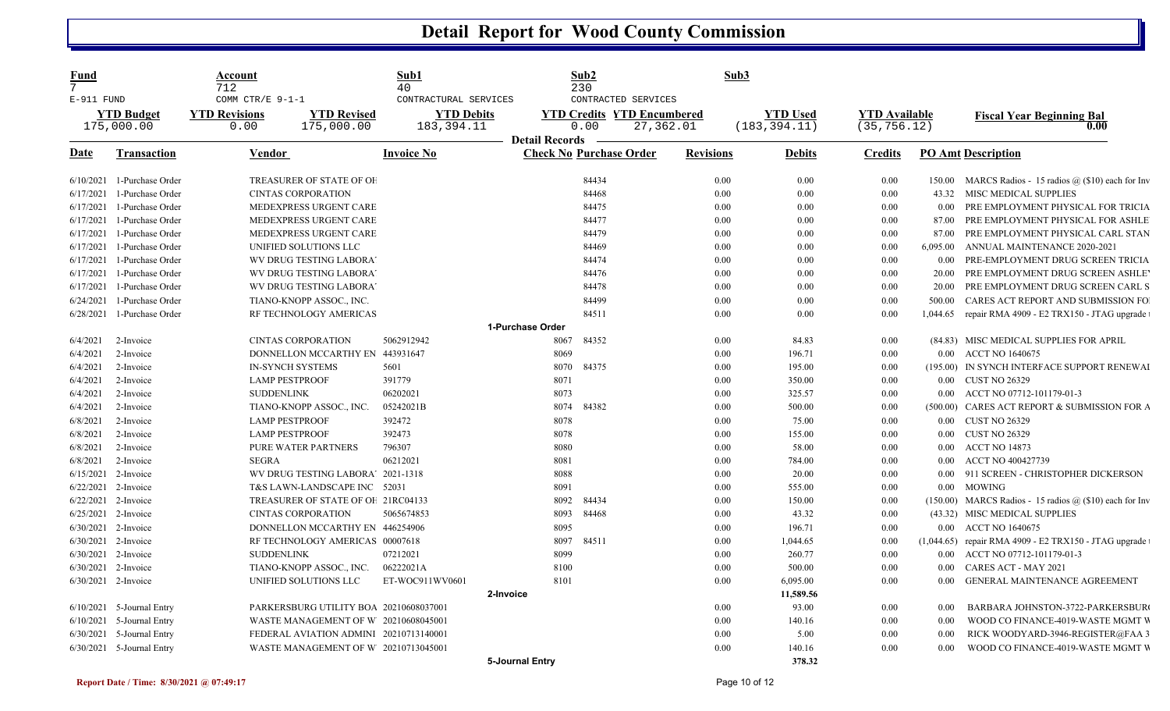| Fund<br>$7^{\circ}$ |                                 | Account<br>712                                   |                                        | Sub1<br>40                                               |                       | Sub2<br>230                                                      | Sub3             |                                  |                                      |                   |                                                                  |
|---------------------|---------------------------------|--------------------------------------------------|----------------------------------------|----------------------------------------------------------|-----------------------|------------------------------------------------------------------|------------------|----------------------------------|--------------------------------------|-------------------|------------------------------------------------------------------|
| E-911 FUND          | <b>YTD Budget</b><br>175,000.00 | COMM CTR/E 9-1-1<br><b>YTD Revisions</b><br>0.00 | <b>YTD Revised</b><br>175,000.00       | CONTRACTURAL SERVICES<br><b>YTD Debits</b><br>183,394.11 |                       | CONTRACTED SERVICES<br><b>YTD Credits YTD Encumbered</b><br>0.00 | 27,362.01        | <b>YTD Used</b><br>(183, 394.11) | <b>YTD</b> Available<br>(35, 756.12) |                   | <b>Fiscal Year Beginning Bal</b><br>0.00                         |
| Date                | Transaction                     | <b>Vendor</b>                                    |                                        | <b>Invoice No</b>                                        | <b>Detail Records</b> | <b>Check No Purchase Order</b>                                   | <b>Revisions</b> | <b>Debits</b>                    | <b>Credits</b>                       |                   | <b>PO Amt Description</b>                                        |
| 6/10/2021           | 1-Purchase Order                |                                                  | TREASURER OF STATE OF OF               |                                                          |                       | 84434                                                            | 0.00             | 0.00                             | 0.00                                 | 150.00            | MARCS Radios - 15 radios $\omega$ (\$10) each for Inv            |
| 6/17/2021           | 1-Purchase Order                |                                                  | <b>CINTAS CORPORATION</b>              |                                                          |                       | 84468                                                            | 0.00             | 0.00                             | 0.00                                 | 43.32             | MISC MEDICAL SUPPLIES                                            |
| 6/17/2021           | 1-Purchase Order                |                                                  | MEDEXPRESS URGENT CARE                 |                                                          |                       | 84475                                                            | 0.00             | 0.00                             | 0.00                                 | 0.00              | PRE EMPLOYMENT PHYSICAL FOR TRICIA                               |
| 6/17/2021           | 1-Purchase Order                |                                                  | MEDEXPRESS URGENT CARE                 |                                                          |                       | 84477                                                            | 0.00             | 0.00                             | 0.00                                 | 87.00             | PRE EMPLOYMENT PHYSICAL FOR ASHLE                                |
| 6/17/2021           | 1-Purchase Order                |                                                  | MEDEXPRESS URGENT CARE                 |                                                          |                       | 84479                                                            | 0.00             | 0.00                             | 0.00                                 | 87.00             | PRE EMPLOYMENT PHYSICAL CARL STAN                                |
| 6/17/2021           | 1-Purchase Order                |                                                  | UNIFIED SOLUTIONS LLC                  |                                                          |                       | 84469                                                            | 0.00             | 0.00                             | 0.00                                 | 6,095.00          | ANNUAL MAINTENANCE 2020-2021                                     |
| 6/17/2021           | 1-Purchase Order                |                                                  | WV DRUG TESTING LABORA'                |                                                          |                       | 84474                                                            | 0.00             | 0.00                             | 0.00                                 | 0.00              | PRE-EMPLOYMENT DRUG SCREEN TRICIA                                |
| 6/17/2021           | 1-Purchase Order                |                                                  | WV DRUG TESTING LABORA'                |                                                          |                       | 84476                                                            | 0.00             | 0.00                             | 0.00                                 | 20.00             | PRE EMPLOYMENT DRUG SCREEN ASHLE'                                |
| 6/17/2021           | 1-Purchase Order                |                                                  | WV DRUG TESTING LABORA'                |                                                          |                       | 84478                                                            | 0.00             | 0.00                             | 0.00                                 | 20.00             | PRE EMPLOYMENT DRUG SCREEN CARL S                                |
| 6/24/2021           | 1-Purchase Order                |                                                  | TIANO-KNOPP ASSOC., INC.               |                                                          |                       | 84499                                                            | 0.00             | 0.00                             | 0.00                                 | 500.00            | CARES ACT REPORT AND SUBMISSION FO                               |
| 6/28/2021           | 1-Purchase Order                |                                                  | RF TECHNOLOGY AMERICAS                 |                                                          |                       | 84511                                                            | 0.00             | 0.00                             | 0.00                                 | 1,044.65          | repair RMA 4909 - E2 TRX150 - JTAG upgrade                       |
|                     |                                 |                                                  |                                        |                                                          | 1-Purchase Order      |                                                                  |                  |                                  |                                      |                   |                                                                  |
| 6/4/2021            | 2-Invoice                       |                                                  | <b>CINTAS CORPORATION</b>              | 5062912942                                               | 8067                  | 84352                                                            | 0.00             | 84.83                            | 0.00                                 |                   | (84.83) MISC MEDICAL SUPPLIES FOR APRIL                          |
| 6/4/2021            | 2-Invoice                       |                                                  | DONNELLON MCCARTHY EN 443931647        |                                                          | 8069                  |                                                                  | 0.00             | 196.71                           | 0.00                                 |                   | 0.00 ACCT NO 1640675                                             |
| 6/4/2021            | 2-Invoice                       |                                                  | <b>IN-SYNCH SYSTEMS</b>                | 5601                                                     | 8070                  | 84375                                                            | 0.00             | 195.00                           | 0.00                                 |                   | (195.00) IN SYNCH INTERFACE SUPPORT RENEWAL                      |
| 6/4/2021            | 2-Invoice                       |                                                  | <b>LAMP PESTPROOF</b>                  | 391779                                                   | 8071                  |                                                                  | 0.00             | 350.00                           | 0.00                                 |                   | 0.00 CUST NO 26329                                               |
| 6/4/2021            | 2-Invoice                       | <b>SUDDENLINK</b>                                |                                        | 06202021                                                 | 8073                  |                                                                  | 0.00             | 325.57                           | 0.00                                 | $0.00\,$          | ACCT NO 07712-101179-01-3                                        |
| 6/4/2021            | 2-Invoice                       |                                                  | TIANO-KNOPP ASSOC., INC.               | 05242021B                                                | 8074                  | 84382                                                            | 0.00             | 500.00                           | 0.00                                 |                   | (500.00) CARES ACT REPORT & SUBMISSION FOR A                     |
| 6/8/2021            | 2-Invoice                       |                                                  | <b>LAMP PESTPROOF</b>                  | 392472                                                   | 8078                  |                                                                  | 0.00             | 75.00                            | 0.00                                 |                   | 0.00 CUST NO 26329                                               |
| 6/8/2021            | 2-Invoice                       |                                                  | <b>LAMP PESTPROOF</b>                  | 392473                                                   | 8078                  |                                                                  | 0.00             | 155.00                           | 0.00                                 | $0.00\,$          | CUST NO 26329                                                    |
| 6/8/2021            | 2-Invoice                       |                                                  | PURE WATER PARTNERS                    | 796307                                                   | 8080                  |                                                                  | 0.00             | 58.00                            | 0.00                                 | 0.00              | <b>ACCT NO 14873</b>                                             |
| 6/8/2021            | 2-Invoice                       | <b>SEGRA</b>                                     |                                        | 06212021                                                 | 8081                  |                                                                  | 0.00             | 784.00                           | 0.00                                 | $0.00^{\circ}$    | ACCT NO 400427739                                                |
| 6/15/2021           | 2-Invoice                       |                                                  | WV DRUG TESTING LABORA' 2021-1318      |                                                          | 8088                  |                                                                  | 0.00             | 20.00                            | 0.00                                 | 0.00 <sub>1</sub> | 911 SCREEN - CHRISTOPHER DICKERSON                               |
| 6/22/2021           | 2-Invoice                       |                                                  | T&S LAWN-LANDSCAPE INC 52031           |                                                          | 8091                  |                                                                  | 0.00             | 555.00                           | 0.00                                 | 0.00              | <b>MOWING</b>                                                    |
| 6/22/2021           | 2-Invoice                       |                                                  | TREASURER OF STATE OF OF 21RC04133     |                                                          | 8092                  | 84434                                                            | 0.00             | 150.00                           | 0.00                                 |                   | $(150.00)$ MARCS Radios - 15 radios $\omega$ (\$10) each for Inv |
| 6/25/2021           | 2-Invoice                       |                                                  | <b>CINTAS CORPORATION</b>              | 5065674853                                               | 8093                  | 84468                                                            | 0.00             | 43.32                            | 0.00                                 |                   | (43.32) MISC MEDICAL SUPPLIES                                    |
| 6/30/2021           | 2-Invoice                       |                                                  | DONNELLON MCCARTHY EN 446254906        |                                                          | 8095                  |                                                                  | 0.00             | 196.71                           | 0.00                                 | 0.00              | <b>ACCT NO 1640675</b>                                           |
| 6/30/2021 2-Invoice |                                 |                                                  | RF TECHNOLOGY AMERICAS 00007618        |                                                          | 8097                  | 84511                                                            | 0.00             | 1,044.65                         | 0.00                                 |                   | $(1,044.65)$ repair RMA 4909 - E2 TRX150 - JTAG upgrade          |
| 6/30/2021           | 2-Invoice                       | <b>SUDDENLINK</b>                                |                                        | 07212021                                                 | 8099                  |                                                                  | 0.00             | 260.77                           | 0.00                                 | $0.00 -$          | ACCT NO 07712-101179-01-3                                        |
| 6/30/2021           | 2-Invoice                       |                                                  | TIANO-KNOPP ASSOC., INC.               | 06222021A                                                | 8100                  |                                                                  | 0.00             | 500.00                           | 0.00                                 | 0.00              | CARES ACT - MAY 2021                                             |
| 6/30/2021 2-Invoice |                                 |                                                  | UNIFIED SOLUTIONS LLC                  | ET-WOC911WV0601                                          | 8101                  |                                                                  | 0.00             | 6,095.00                         | $0.00\,$                             | $0.00\,$          | <b>GENERAL MAINTENANCE AGREEMENT</b>                             |
|                     |                                 |                                                  |                                        |                                                          | 2-Invoice             |                                                                  |                  | 11,589.56                        |                                      |                   |                                                                  |
| 6/10/2021           | 5-Journal Entry                 |                                                  | PARKERSBURG UTILITY BOA 20210608037001 |                                                          |                       |                                                                  | 0.00             | 93.00                            | 0.00                                 | 0.00              | BARBARA JOHNSTON-3722-PARKERSBUR                                 |
| 6/10/2021           | 5-Journal Entry                 |                                                  | WASTE MANAGEMENT OF W 20210608045001   |                                                          |                       |                                                                  | 0.00             | 140.16                           | 0.00                                 | 0.00              | WOOD CO FINANCE-4019-WASTE MGMT V                                |
| 6/30/2021           | 5-Journal Entry                 |                                                  | FEDERAL AVIATION ADMINI 20210713140001 |                                                          |                       |                                                                  | 0.00             | 5.00                             | 0.00                                 | 0.00              | RICK WOODYARD-3946-REGISTER@FAA 3                                |
|                     | 6/30/2021 5-Journal Entry       |                                                  | WASTE MANAGEMENT OF W 20210713045001   |                                                          |                       |                                                                  | 0.00             | 140.16                           | 0.00                                 | 0.00              | WOOD CO FINANCE-4019-WASTE MGMT V                                |
|                     |                                 |                                                  |                                        |                                                          | 5-Journal Entry       |                                                                  |                  | 378.32                           |                                      |                   |                                                                  |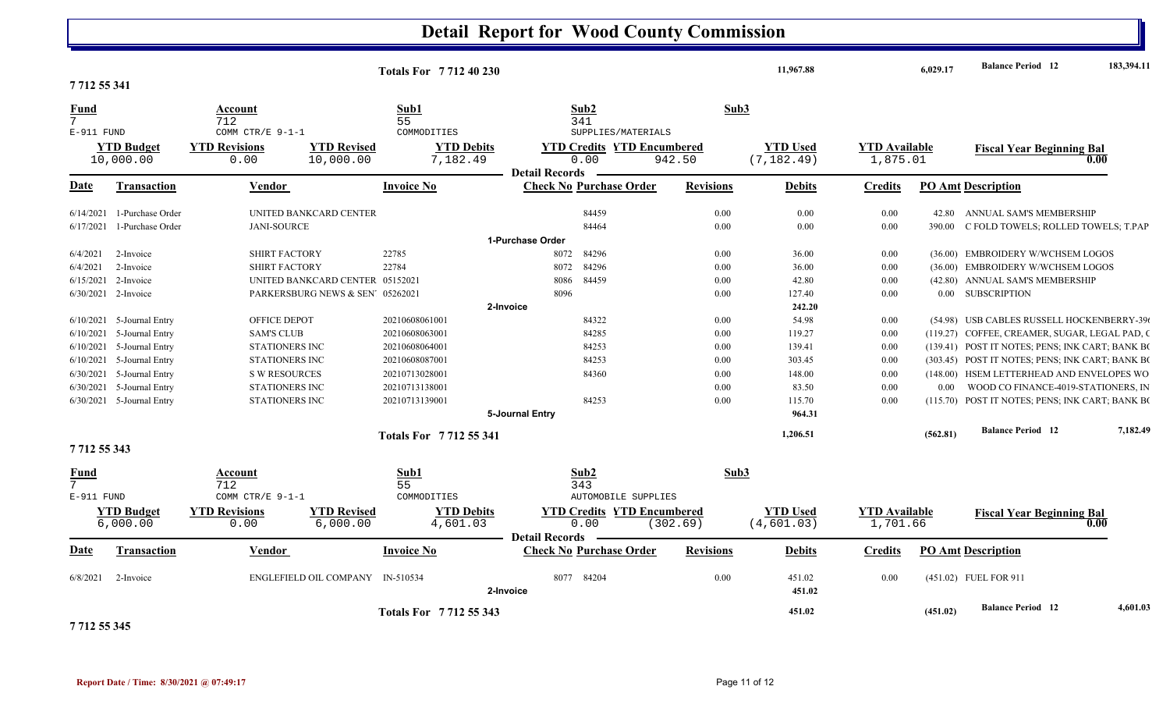|                |                             |                      | <b>Totals For 771240230</b>     |                        |                       |                                   | 11,967.88        |                  | 6,029.17             | <b>Balance Period</b> 12 | 183,394.11                                      |          |
|----------------|-----------------------------|----------------------|---------------------------------|------------------------|-----------------------|-----------------------------------|------------------|------------------|----------------------|--------------------------|-------------------------------------------------|----------|
| 771255341      |                             |                      |                                 |                        |                       |                                   |                  |                  |                      |                          |                                                 |          |
| <b>Fund</b>    |                             | Account              |                                 | Sub1                   |                       | Sub2                              | Sub3             |                  |                      |                          |                                                 |          |
| 7              |                             | 712                  |                                 | 55                     |                       | 341                               |                  |                  |                      |                          |                                                 |          |
| E-911 FUND     |                             | COMM CTR/E 9-1-1     |                                 | COMMODITIES            |                       | SUPPLIES/MATERIALS                |                  |                  |                      |                          |                                                 |          |
|                | <b>YTD Budget</b>           | <b>YTD Revisions</b> | <b>YTD Revised</b>              | <b>YTD Debits</b>      |                       | <b>YTD Credits YTD Encumbered</b> |                  | <b>YTD Used</b>  | <b>YTD Available</b> |                          | <b>Fiscal Year Beginning Bal</b>                |          |
|                | 10,000.00                   | 0.00                 | 10,000.00                       | 7,182.49               | <b>Detail Records</b> | 0.00                              | 942.50           | (7, 182.49)      | 1,875.01             |                          |                                                 | 0.00     |
| Date           | Transaction                 | Vendor               |                                 | <b>Invoice No</b>      |                       | <b>Check No Purchase Order</b>    | <b>Revisions</b> | <b>Debits</b>    | <b>Credits</b>       |                          | <b>PO Amt Description</b>                       |          |
| 6/14/2021      | 1-Purchase Order            |                      | UNITED BANKCARD CENTER          |                        |                       | 84459                             | 0.00             | 0.00             | 0.00                 | 42.80                    | ANNUAL SAM'S MEMBERSHIP                         |          |
| 6/17/2021      | 1-Purchase Order            | <b>JANI-SOURCE</b>   |                                 |                        |                       | 84464                             | 0.00             | 0.00             | 0.00                 | 390.00                   | C FOLD TOWELS; ROLLED TOWELS; T.PAP             |          |
|                |                             |                      |                                 |                        | 1-Purchase Order      |                                   |                  |                  |                      |                          |                                                 |          |
| 6/4/2021       | 2-Invoice                   | <b>SHIRT FACTORY</b> |                                 | 22785                  | 8072                  | 84296                             | 0.00             | 36.00            | 0.00                 |                          | (36.00) EMBROIDERY W/WCHSEM LOGOS               |          |
| 6/4/2021       | 2-Invoice                   | <b>SHIRT FACTORY</b> |                                 | 22784                  | 8072                  | 84296                             | 0.00             | 36.00            | 0.00                 |                          | (36.00) EMBROIDERY W/WCHSEM LOGOS               |          |
|                | 6/15/2021 2-Invoice         |                      | UNITED BANKCARD CENTER 05152021 |                        | 8086                  | 84459                             | 0.00             | 42.80            | 0.00                 |                          | (42.80) ANNUAL SAM'S MEMBERSHIP                 |          |
|                | 6/30/2021 2-Invoice         |                      | PARKERSBURG NEWS & SEN 05262021 |                        | 8096                  |                                   | 0.00             | 127.40           | 0.00                 |                          | 0.00 SUBSCRIPTION                               |          |
|                |                             |                      |                                 |                        | 2-Invoice             |                                   |                  | 242.20           |                      |                          |                                                 |          |
|                | $6/10/2021$ 5-Journal Entry | OFFICE DEPOT         |                                 | 20210608061001         |                       | 84322                             | 0.00             | 54.98            | 0.00                 |                          | (54.98) USB CABLES RUSSELL HOCKENBERRY-390      |          |
| 6/10/2021      | 5-Journal Entry             | <b>SAM'S CLUB</b>    |                                 | 20210608063001         |                       | 84285                             | 0.00             | 119.27           | 0.00                 |                          | (119.27) COFFEE, CREAMER, SUGAR, LEGAL PAD, C   |          |
|                | $6/10/2021$ 5-Journal Entry | STATIONERS INC       |                                 | 20210608064001         |                       | 84253                             | 0.00             | 139.41           | 0.00                 |                          | (139.41) POST IT NOTES; PENS; INK CART; BANK BO |          |
|                | $6/10/2021$ 5-Journal Entry | STATIONERS INC       |                                 | 20210608087001         |                       | 84253                             | 0.00             | 303.45           | 0.00                 |                          | (303.45) POST IT NOTES; PENS; INK CART; BANK BO |          |
| 6/30/2021      | 5-Journal Entry             | <b>S W RESOURCES</b> |                                 | 20210713028001         |                       | 84360                             | 0.00             | 148.00           | 0.00                 |                          | (148.00) HSEM LETTERHEAD AND ENVELOPES WO       |          |
| 6/30/2021      | 5-Journal Entry             | STATIONERS INC       |                                 | 20210713138001         |                       |                                   | 0.00             | 83.50            | 0.00                 | $0.00\,$                 | WOOD CO FINANCE-4019-STATIONERS, IN             |          |
|                | 6/30/2021 5-Journal Entry   | STATIONERS INC       |                                 | 20210713139001         |                       | 84253                             | 0.00             | 115.70           | 0.00                 |                          | (115.70) POST IT NOTES; PENS; INK CART; BANK BO |          |
|                |                             |                      |                                 |                        | 5-Journal Entry       |                                   |                  | 964.31           |                      |                          |                                                 |          |
|                |                             |                      |                                 | Totals For 7712 55 341 |                       |                                   |                  | 1,206.51         |                      | (562.81)                 | <b>Balance Period</b> 12                        | 7,182.49 |
| 771255343      |                             |                      |                                 |                        |                       |                                   |                  |                  |                      |                          |                                                 |          |
| <b>Fund</b>    |                             | Account              |                                 | Sub1                   |                       | Sub2                              | Sub3             |                  |                      |                          |                                                 |          |
| $\overline{7}$ |                             | 712                  |                                 | 55                     |                       | 343                               |                  |                  |                      |                          |                                                 |          |
| E-911 FUND     |                             | COMM CTR/E 9-1-1     |                                 | COMMODITIES            |                       | AUTOMOBILE SUPPLIES               |                  |                  |                      |                          |                                                 |          |
|                | <b>YTD Budget</b>           | <b>YTD Revisions</b> | <b>YTD Revised</b>              | <b>YTD Debits</b>      |                       | <b>YTD Credits YTD Encumbered</b> |                  | <b>YTD Used</b>  | <b>YTD Available</b> |                          | <b>Fiscal Year Beginning Bal</b>                |          |
|                | 6,000.00                    | 0.00                 | 6,000.00                        | 4,601.03               | <b>Detail Records</b> | 0.00                              | (302.69)         | (4, 601.03)      | 1,701.66             |                          |                                                 | 0.00     |
| Date           | <b>Transaction</b>          | Vendor               |                                 | <b>Invoice No</b>      |                       | <b>Check No Purchase Order</b>    | <b>Revisions</b> | <b>Debits</b>    | <b>Credits</b>       |                          | <b>PO Amt Description</b>                       |          |
| 6/8/2021       | 2-Invoice                   |                      | ENGLEFIELD OIL COMPANY          | IN-510534              | 8077<br>2-Invoice     | 84204                             | 0.00             | 451.02<br>451.02 | 0.00                 |                          | (451.02) FUEL FOR 911                           |          |
|                |                             |                      |                                 | Totals For 7712 55 343 |                       |                                   |                  | 451.02           |                      | (451.02)                 | <b>Balance Period 12</b>                        | 4.601.03 |
|                |                             |                      |                                 |                        |                       |                                   |                  |                  |                      |                          |                                                 |          |

**7 712 55 345**